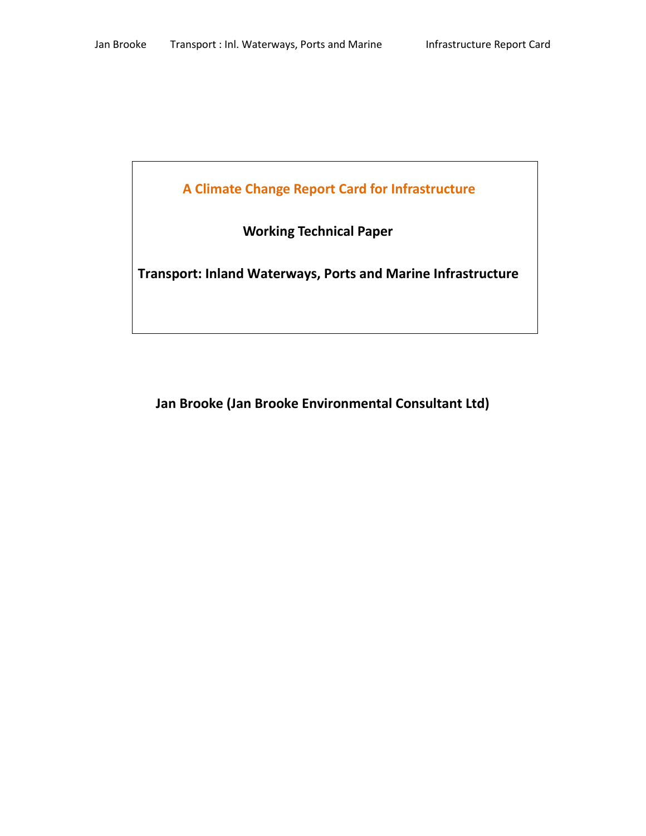**A Climate Change Report Card for Infrastructure**

 **Working Technical Paper**

**Transport: Inland Waterways, Ports and Marine Infrastructure**

<span id="page-0-0"></span>**Jan Brooke (Jan Brooke Environmental Consultant Ltd)**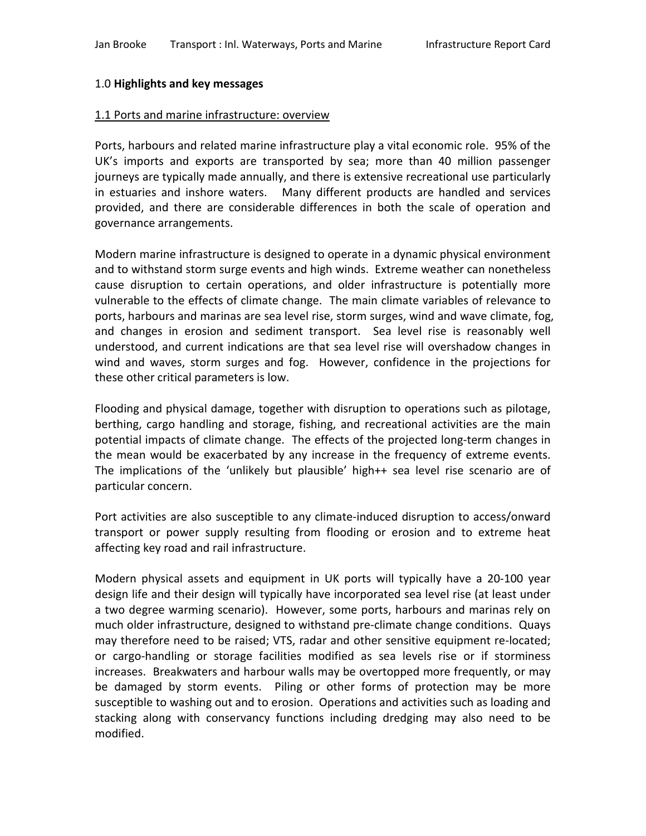#### 1.0 **Highlights and key messages**

#### 1.1 Ports and marine infrastructure: overview

Ports, harbours and related marine infrastructure play a vital economic role. 95% of the UK's imports and exports are transported by sea; more than 40 million passenger journeys are typically made annually, and there is extensive recreational use particularly in estuaries and inshore waters. Many different products are handled and services provided, and there are considerable differences in both the scale of operation and governance arrangements.

Modern marine infrastructure is designed to operate in a dynamic physical environment and to withstand storm surge events and high winds. Extreme weather can nonetheless cause disruption to certain operations, and older infrastructure is potentially more vulnerable to the effects of climate change. The main climate variables of relevance to ports, harbours and marinas are sea level rise, storm surges, wind and wave climate, fog, and changes in erosion and sediment transport. Sea level rise is reasonably well understood, and current indications are that sea level rise will overshadow changes in wind and waves, storm surges and fog. However, confidence in the projections for these other critical parameters is low.

Flooding and physical damage, together with disruption to operations such as pilotage, berthing, cargo handling and storage, fishing, and recreational activities are the main potential impacts of climate change. The effects of the projected long-term changes in the mean would be exacerbated by any increase in the frequency of extreme events. The implications of the 'unlikely but plausible' high++ sea level rise scenario are of particular concern.

Port activities are also susceptible to any climate-induced disruption to access/onward transport or power supply resulting from flooding or erosion and to extreme heat affecting key road and rail infrastructure.

Modern physical assets and equipment in UK ports will typically have a 20-100 year design life and their design will typically have incorporated sea level rise (at least under a two degree warming scenario). However, some ports, harbours and marinas rely on much older infrastructure, designed to withstand pre-climate change conditions. Quays may therefore need to be raised; VTS, radar and other sensitive equipment re-located; or cargo-handling or storage facilities modified as sea levels rise or if storminess increases. Breakwaters and harbour walls may be overtopped more frequently, or may be damaged by storm events. Piling or other forms of protection may be more susceptible to washing out and to erosion. Operations and activities such as loading and stacking along with conservancy functions including dredging may also need to be modified.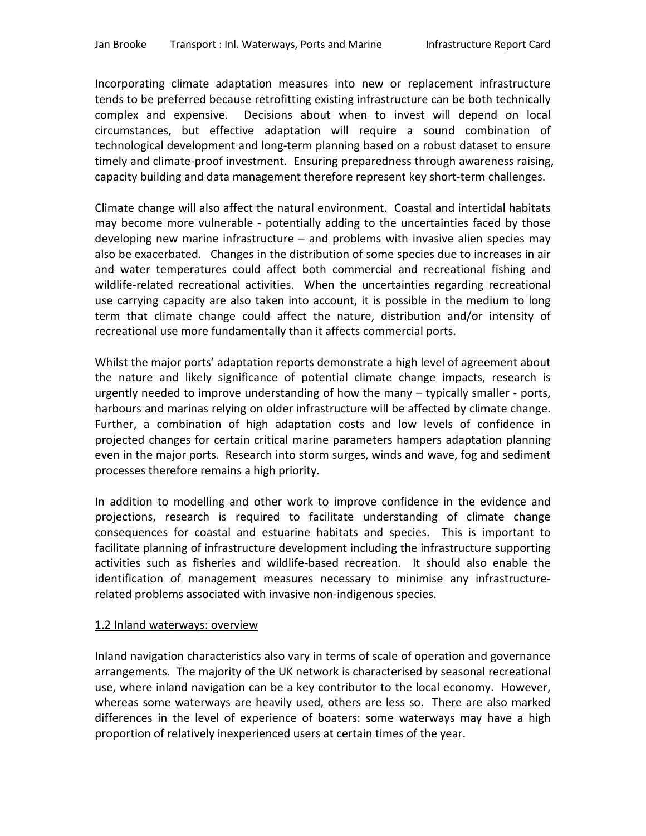Incorporating climate adaptation measures into new or replacement infrastructure tends to be preferred because retrofitting existing infrastructure can be both technically complex and expensive. Decisions about when to invest will depend on local circumstances, but effective adaptation will require a sound combination of technological development and long-term planning based on a robust dataset to ensure timely and climate-proof investment. Ensuring preparedness through awareness raising, capacity building and data management therefore represent key short-term challenges.

Climate change will also affect the natural environment. Coastal and intertidal habitats may become more vulnerable - potentially adding to the uncertainties faced by those developing new marine infrastructure – and problems with invasive alien species may also be exacerbated. Changes in the distribution of some species due to increases in air and water temperatures could affect both commercial and recreational fishing and wildlife-related recreational activities. When the uncertainties regarding recreational use carrying capacity are also taken into account, it is possible in the medium to long term that climate change could affect the nature, distribution and/or intensity of recreational use more fundamentally than it affects commercial ports.

Whilst the major ports' adaptation reports demonstrate a high level of agreement about the nature and likely significance of potential climate change impacts, research is urgently needed to improve understanding of how the many – typically smaller - ports, harbours and marinas relying on older infrastructure will be affected by climate change. Further, a combination of high adaptation costs and low levels of confidence in projected changes for certain critical marine parameters hampers adaptation planning even in the major ports. Research into storm surges, winds and wave, fog and sediment processes therefore remains a high priority.

In addition to modelling and other work to improve confidence in the evidence and projections, research is required to facilitate understanding of climate change consequences for coastal and estuarine habitats and species. This is important to facilitate planning of infrastructure development including the infrastructure supporting activities such as fisheries and wildlife-based recreation. It should also enable the identification of management measures necessary to minimise any infrastructurerelated problems associated with invasive non-indigenous species.

#### 1.2 Inland waterways: overview

Inland navigation characteristics also vary in terms of scale of operation and governance arrangements. The majority of the UK network is characterised by seasonal recreational use, where inland navigation can be a key contributor to the local economy. However, whereas some waterways are heavily used, others are less so. There are also marked differences in the level of experience of boaters: some waterways may have a high proportion of relatively inexperienced users at certain times of the year.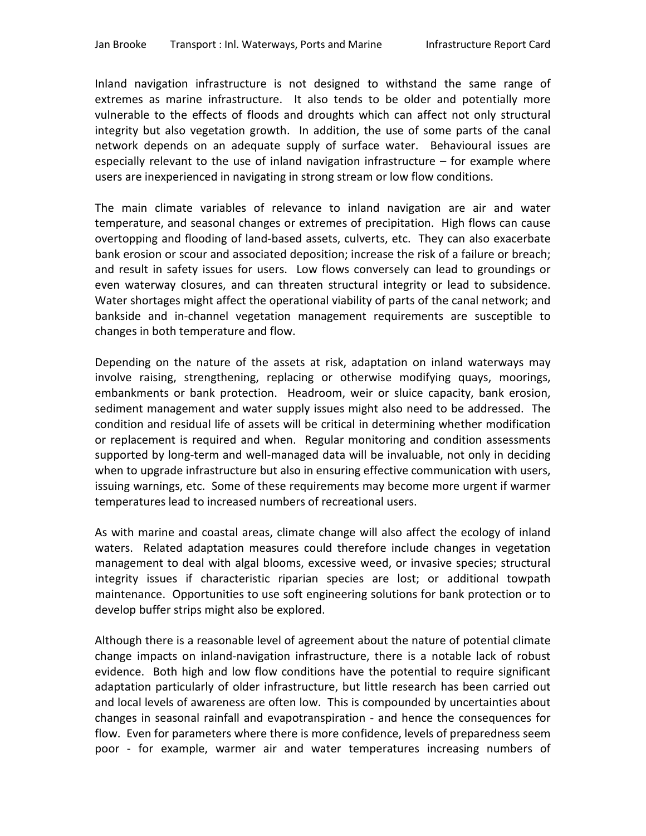Inland navigation infrastructure is not designed to withstand the same range of extremes as marine infrastructure. It also tends to be older and potentially more vulnerable to the effects of floods and droughts which can affect not only structural integrity but also vegetation growth. In addition, the use of some parts of the canal network depends on an adequate supply of surface water. Behavioural issues are especially relevant to the use of inland navigation infrastructure  $-$  for example where users are inexperienced in navigating in strong stream or low flow conditions.

The main climate variables of relevance to inland navigation are air and water temperature, and seasonal changes or extremes of precipitation. High flows can cause overtopping and flooding of land-based assets, culverts, etc. They can also exacerbate bank erosion or scour and associated deposition; increase the risk of a failure or breach; and result in safety issues for users. Low flows conversely can lead to groundings or even waterway closures, and can threaten structural integrity or lead to subsidence. Water shortages might affect the operational viability of parts of the canal network; and bankside and in-channel vegetation management requirements are susceptible to changes in both temperature and flow.

Depending on the nature of the assets at risk, adaptation on inland waterways may involve raising, strengthening, replacing or otherwise modifying quays, moorings, embankments or bank protection. Headroom, weir or sluice capacity, bank erosion, sediment management and water supply issues might also need to be addressed. The condition and residual life of assets will be critical in determining whether modification or replacement is required and when. Regular monitoring and condition assessments supported by long-term and well-managed data will be invaluable, not only in deciding when to upgrade infrastructure but also in ensuring effective communication with users, issuing warnings, etc. Some of these requirements may become more urgent if warmer temperatures lead to increased numbers of recreational users.

As with marine and coastal areas, climate change will also affect the ecology of inland waters. Related adaptation measures could therefore include changes in vegetation management to deal with algal blooms, excessive weed, or invasive species; structural integrity issues if characteristic riparian species are lost; or additional towpath maintenance. Opportunities to use soft engineering solutions for bank protection or to develop buffer strips might also be explored.

Although there is a reasonable level of agreement about the nature of potential climate change impacts on inland-navigation infrastructure, there is a notable lack of robust evidence. Both high and low flow conditions have the potential to require significant adaptation particularly of older infrastructure, but little research has been carried out and local levels of awareness are often low. This is compounded by uncertainties about changes in seasonal rainfall and evapotranspiration - and hence the consequences for flow. Even for parameters where there is more confidence, levels of preparedness seem poor - for example, warmer air and water temperatures increasing numbers of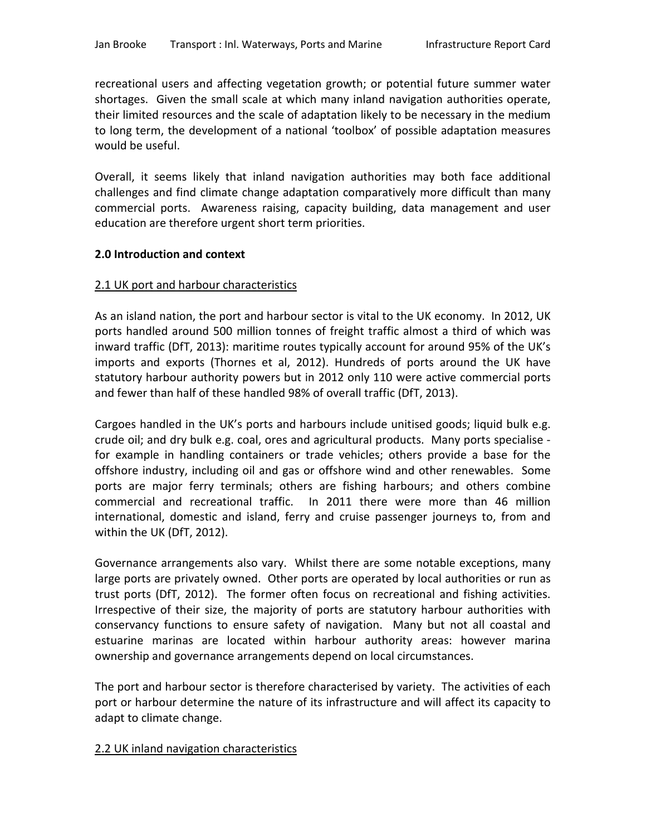recreational users and affecting vegetation growth; or potential future summer water shortages. Given the small scale at which many inland navigation authorities operate, their limited resources and the scale of adaptation likely to be necessary in the medium to long term, the development of a national 'toolbox' of possible adaptation measures would be useful.

Overall, it seems likely that inland navigation authorities may both face additional challenges and find climate change adaptation comparatively more difficult than many commercial ports. Awareness raising, capacity building, data management and user education are therefore urgent short term priorities.

### **2.0 Introduction and context**

### 2.1 UK port and harbour characteristics

As an island nation, the port and harbour sector is vital to the UK economy. In 2012, UK ports handled around 500 million tonnes of freight traffic almost a third of which was inward traffic (DfT, 2013): maritime routes typically account for around 95% of the UK's imports and exports (Thornes et al, 2012). Hundreds of ports around the UK have statutory harbour authority powers but in 2012 only 110 were active commercial ports and fewer than half of these handled 98% of overall traffic (DfT, 2013).

Cargoes handled in the UK's ports and harbours include unitised goods; liquid bulk e.g. crude oil; and dry bulk e.g. coal, ores and agricultural products. Many ports specialise for example in handling containers or trade vehicles; others provide a base for the offshore industry, including oil and gas or offshore wind and other renewables. Some ports are major ferry terminals; others are fishing harbours; and others combine commercial and recreational traffic. In 2011 there were more than 46 million international, domestic and island, ferry and cruise passenger journeys to, from and within the UK (DfT, 2012).

Governance arrangements also vary. Whilst there are some notable exceptions, many large ports are privately owned. Other ports are operated by local authorities or run as trust ports (DfT, 2012). The former often focus on recreational and fishing activities. Irrespective of their size, the majority of ports are statutory harbour authorities with conservancy functions to ensure safety of navigation. Many but not all coastal and estuarine marinas are located within harbour authority areas: however marina ownership and governance arrangements depend on local circumstances.

The port and harbour sector is therefore characterised by variety. The activities of each port or harbour determine the nature of its infrastructure and will affect its capacity to adapt to climate change.

# 2.2 UK inland navigation characteristics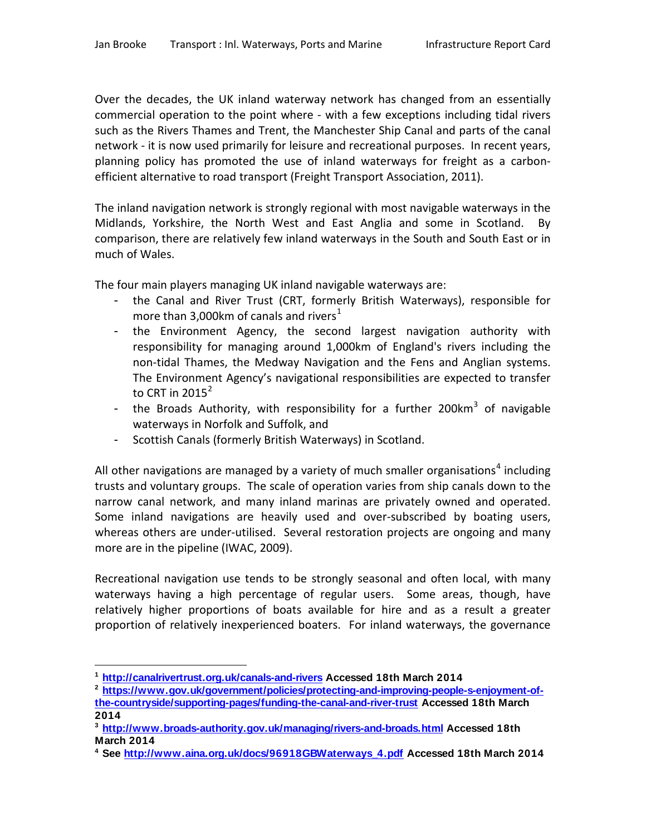Over the decades, the UK inland waterway network has changed from an essentially commercial operation to the point where - with a few exceptions including tidal rivers such as the Rivers Thames and Trent, the Manchester Ship Canal and parts of the canal network - it is now used primarily for leisure and recreational purposes. In recent years, planning policy has promoted the use of inland waterways for freight as a carbonefficient alternative to road transport (Freight Transport Association, 2011).

The inland navigation network is strongly regional with most navigable waterways in the Midlands, Yorkshire, the North West and East Anglia and some in Scotland. By comparison, there are relatively few inland waterways in the South and South East or in much of Wales.

The four main players managing UK inland navigable waterways are:

- the Canal and River Trust (CRT, formerly British Waterways), responsible for more than 3,000 km of canals and rivers<sup>[1](#page-0-0)</sup>
- the Environment Agency, the second largest navigation authority with responsibility for managing around 1,000km of England's rivers including the non-tidal Thames, the Medway Navigation and the Fens and Anglian systems. The Environment Agency's navigational responsibilities are expected to transfer to CRT in  $2015^2$  $2015^2$
- the Broads Authority, with responsibility for a further 200 $km^3$  $km^3$  of navigable waterways in Norfolk and Suffolk, and
- Scottish Canals (formerly British Waterways) in Scotland.

All other navigations are managed by a variety of much smaller organisations<sup>[4](#page-5-2)</sup> including trusts and voluntary groups. The scale of operation varies from ship canals down to the narrow canal network, and many inland marinas are privately owned and operated. Some inland navigations are heavily used and over-subscribed by boating users, whereas others are under-utilised. Several restoration projects are ongoing and many more are in the pipeline (IWAC, 2009).

Recreational navigation use tends to be strongly seasonal and often local, with many waterways having a high percentage of regular users. Some areas, though, have relatively higher proportions of boats available for hire and as a result a greater proportion of relatively inexperienced boaters. For inland waterways, the governance

 $\overline{a}$ **<sup>1</sup> <http://canalrivertrust.org.uk/canals-and-rivers> Accessed 18th March 2014**

<span id="page-5-0"></span>**<sup>2</sup> [https://www.gov.uk/government/policies/protecting-and-improving-people-s-enjoyment-of](https://www.gov.uk/government/policies/protecting-and-improving-people-s-enjoyment-of-the-countryside/supporting-pages/funding-the-canal-and-river-trust)[the-countryside/supporting-pages/funding-the-canal-and-river-trust](https://www.gov.uk/government/policies/protecting-and-improving-people-s-enjoyment-of-the-countryside/supporting-pages/funding-the-canal-and-river-trust) Accessed 18th March 2014**

<span id="page-5-3"></span><span id="page-5-1"></span>**<sup>3</sup> <http://www.broads-authority.gov.uk/managing/rivers-and-broads.html> Accessed 18th March 2014**

<span id="page-5-2"></span>**<sup>4</sup> See [http://www.aina.org.uk/docs/96918GBWaterways\\_4.pdf](http://www.aina.org.uk/docs/96918GBWaterways_4.pdf) Accessed 18th March 2014**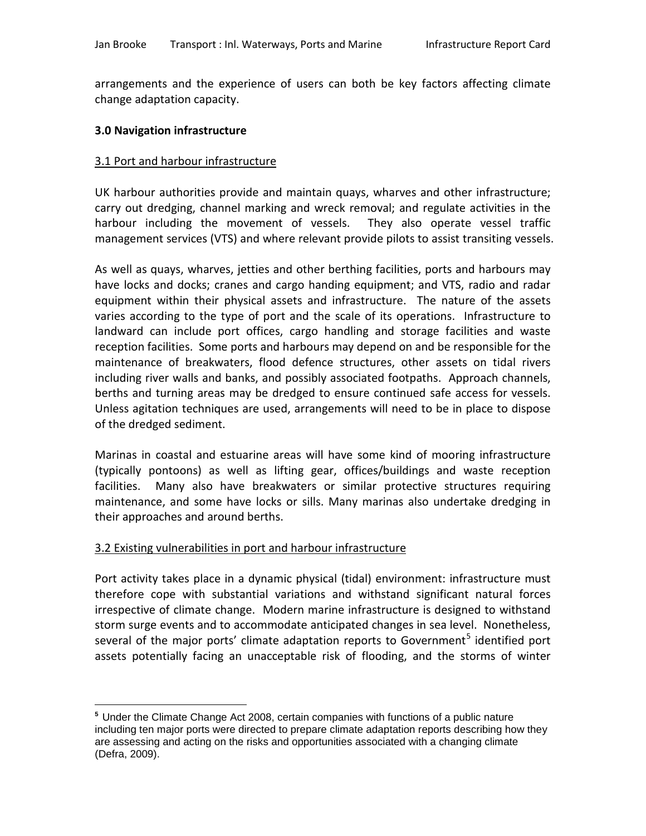arrangements and the experience of users can both be key factors affecting climate change adaptation capacity.

### **3.0 Navigation infrastructure**

#### 3.1 Port and harbour infrastructure

UK harbour authorities provide and maintain quays, wharves and other infrastructure; carry out dredging, channel marking and wreck removal; and regulate activities in the harbour including the movement of vessels. They also operate vessel traffic management services (VTS) and where relevant provide pilots to assist transiting vessels.

As well as quays, wharves, jetties and other berthing facilities, ports and harbours may have locks and docks; cranes and cargo handing equipment; and VTS, radio and radar equipment within their physical assets and infrastructure. The nature of the assets varies according to the type of port and the scale of its operations. Infrastructure to landward can include port offices, cargo handling and storage facilities and waste reception facilities. Some ports and harbours may depend on and be responsible for the maintenance of breakwaters, flood defence structures, other assets on tidal rivers including river walls and banks, and possibly associated footpaths. Approach channels, berths and turning areas may be dredged to ensure continued safe access for vessels. Unless agitation techniques are used, arrangements will need to be in place to dispose of the dredged sediment.

Marinas in coastal and estuarine areas will have some kind of mooring infrastructure (typically pontoons) as well as lifting gear, offices/buildings and waste reception facilities. Many also have breakwaters or similar protective structures requiring maintenance, and some have locks or sills. Many marinas also undertake dredging in their approaches and around berths.

# 3.2 Existing vulnerabilities in port and harbour infrastructure

 $\overline{a}$ 

Port activity takes place in a dynamic physical (tidal) environment: infrastructure must therefore cope with substantial variations and withstand significant natural forces irrespective of climate change. Modern marine infrastructure is designed to withstand storm surge events and to accommodate anticipated changes in sea level. Nonetheless, several of the major ports' climate adaptation reports to Government<sup>[5](#page-5-3)</sup> identified port assets potentially facing an unacceptable risk of flooding, and the storms of winter

<span id="page-6-0"></span>**<sup>5</sup>** Under the Climate Change Act 2008, certain companies with functions of a public nature including ten major ports were directed to prepare climate adaptation reports describing how they are assessing and acting on the risks and opportunities associated with a changing climate (Defra, 2009).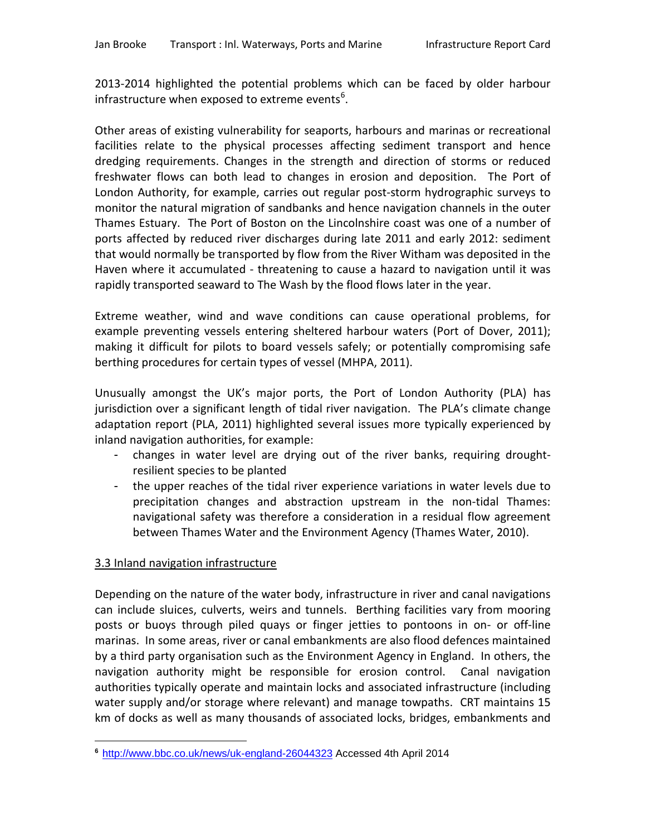2013-2014 highlighted the potential problems which can be faced by older harbour infrastructure when exposed to extreme events<sup>[6](#page-6-0)</sup>.

Other areas of existing vulnerability for seaports, harbours and marinas or recreational facilities relate to the physical processes affecting sediment transport and hence dredging requirements. Changes in the strength and direction of storms or reduced freshwater flows can both lead to changes in erosion and deposition. The Port of London Authority, for example, carries out regular post-storm hydrographic surveys to monitor the natural migration of sandbanks and hence navigation channels in the outer Thames Estuary. The Port of Boston on the Lincolnshire coast was one of a number of ports affected by reduced river discharges during late 2011 and early 2012: sediment that would normally be transported by flow from the River Witham was deposited in the Haven where it accumulated - threatening to cause a hazard to navigation until it was rapidly transported seaward to The Wash by the flood flows later in the year.

Extreme weather, wind and wave conditions can cause operational problems, for example preventing vessels entering sheltered harbour waters (Port of Dover, 2011); making it difficult for pilots to board vessels safely; or potentially compromising safe berthing procedures for certain types of vessel (MHPA, 2011).

Unusually amongst the UK's major ports, the Port of London Authority (PLA) has jurisdiction over a significant length of tidal river navigation. The PLA's climate change adaptation report (PLA, 2011) highlighted several issues more typically experienced by inland navigation authorities, for example:

- changes in water level are drying out of the river banks, requiring droughtresilient species to be planted
- the upper reaches of the tidal river experience variations in water levels due to precipitation changes and abstraction upstream in the non-tidal Thames: navigational safety was therefore a consideration in a residual flow agreement between Thames Water and the Environment Agency (Thames Water, 2010).

# 3.3 Inland navigation infrastructure

Depending on the nature of the water body, infrastructure in river and canal navigations can include sluices, culverts, weirs and tunnels. Berthing facilities vary from mooring posts or buoys through piled quays or finger jetties to pontoons in on- or off-line marinas. In some areas, river or canal embankments are also flood defences maintained by a third party organisation such as the Environment Agency in England. In others, the navigation authority might be responsible for erosion control. Canal navigation authorities typically operate and maintain locks and associated infrastructure (including water supply and/or storage where relevant) and manage towpaths. CRT maintains 15 km of docks as well as many thousands of associated locks, bridges, embankments and

<span id="page-7-0"></span> $\overline{a}$ **<sup>6</sup>** <http://www.bbc.co.uk/news/uk-england-26044323> Accessed 4th April 2014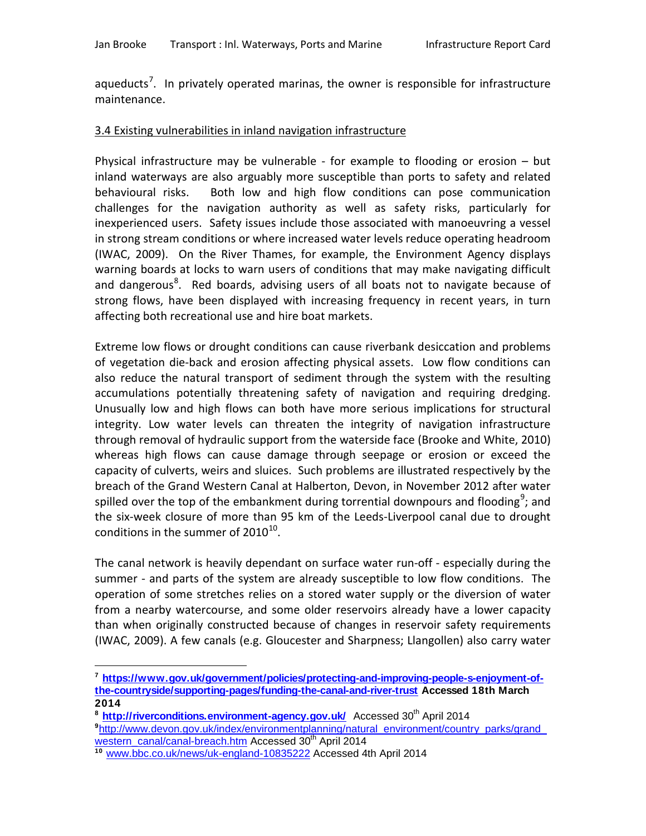aqueducts<sup>[7](#page-7-0)</sup>. In privately operated marinas, the owner is responsible for infrastructure maintenance.

# 3.4 Existing vulnerabilities in inland navigation infrastructure

Physical infrastructure may be vulnerable - for example to flooding or erosion – but inland waterways are also arguably more susceptible than ports to safety and related behavioural risks. Both low and high flow conditions can pose communication challenges for the navigation authority as well as safety risks, particularly for inexperienced users. Safety issues include those associated with manoeuvring a vessel in strong stream conditions or where increased water levels reduce operating headroom (IWAC, 2009). On the River Thames, for example, the Environment Agency displays warning boards at locks to warn users of conditions that may make navigating difficult and dangerous<sup>[8](#page-8-0)</sup>. Red boards, advising users of all boats not to navigate because of strong flows, have been displayed with increasing frequency in recent years, in turn affecting both recreational use and hire boat markets.

Extreme low flows or drought conditions can cause riverbank desiccation and problems of vegetation die-back and erosion affecting physical assets. Low flow conditions can also reduce the natural transport of sediment through the system with the resulting accumulations potentially threatening safety of navigation and requiring dredging. Unusually low and high flows can both have more serious implications for structural integrity. Low water levels can threaten the integrity of navigation infrastructure through removal of hydraulic support from the waterside face (Brooke and White, 2010) whereas high flows can cause damage through seepage or erosion or exceed the capacity of culverts, weirs and sluices. Such problems are illustrated respectively by the breach of the Grand Western Canal at Halberton, Devon, in November 2012 after water spilled over the top of the embankment during torrential downpours and flooding<sup>[9](#page-8-1)</sup>; and the six-week closure of more than 95 km of the Leeds-Liverpool canal due to drought conditions in the summer of  $2010^{10}$  $2010^{10}$  $2010^{10}$ .

The canal network is heavily dependant on surface water run-off - especially during the summer - and parts of the system are already susceptible to low flow conditions. The operation of some stretches relies on a stored water supply or the diversion of water from a nearby watercourse, and some older reservoirs already have a lower capacity than when originally constructed because of changes in reservoir safety requirements (IWAC, 2009). A few canals (e.g. Gloucester and Sharpness; Llangollen) also carry water

 $\overline{a}$ 

**<sup>7</sup> [https://www.gov.uk/government/policies/protecting-and-improving-people-s-enjoyment-of](https://www.gov.uk/government/policies/protecting-and-improving-people-s-enjoyment-of-the-countryside/supporting-pages/funding-the-canal-and-river-trust)[the-countryside/supporting-pages/funding-the-canal-and-river-trust](https://www.gov.uk/government/policies/protecting-and-improving-people-s-enjoyment-of-the-countryside/supporting-pages/funding-the-canal-and-river-trust) Accessed 18th March 2014** 

<span id="page-8-1"></span><span id="page-8-0"></span><sup>&</sup>lt;sup>8</sup> **http://riverconditions.environment-agency.gov.uk/** Accessed 30<sup>th</sup> April 2014 **9** [http://www.devon.gov.uk/index/environmentplanning/natural\\_environment/country\\_parks/grand\\_](http://www.devon.gov.uk/index/environmentplanning/natural_environment/country_parks/grand_western_canal/canal-breach.htm) [western\\_canal/canal-breach.htm](http://www.devon.gov.uk/index/environmentplanning/natural_environment/country_parks/grand_western_canal/canal-breach.htm) Accessed 30<sup>th</sup> April 2014

<span id="page-8-3"></span><span id="page-8-2"></span>**<sup>10</sup>** [www.bbc.co.uk/news/uk-england-10835222](http://www.bbc.co.uk/news/uk-england-10835222) Accessed 4th April 2014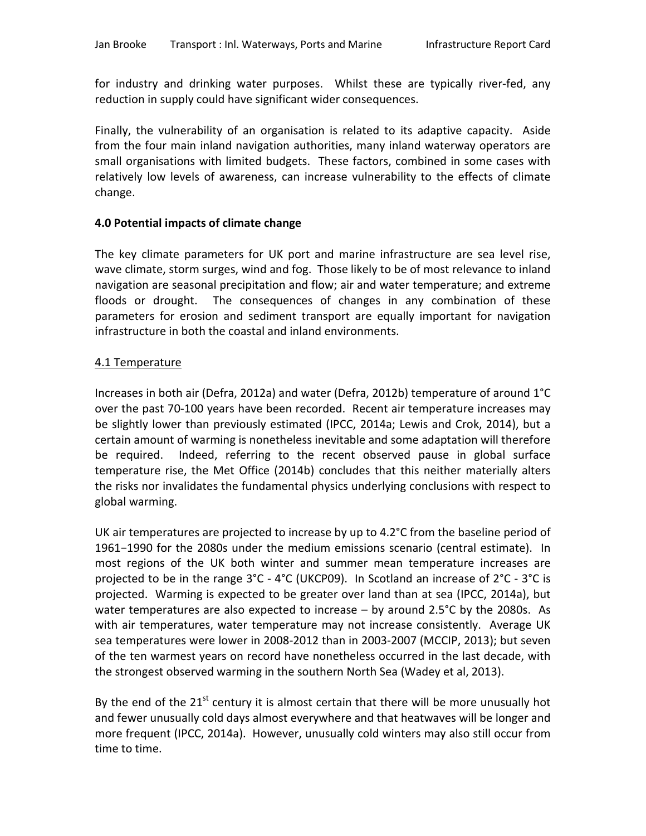for industry and drinking water purposes. Whilst these are typically river-fed, any reduction in supply could have significant wider consequences.

Finally, the vulnerability of an organisation is related to its adaptive capacity. Aside from the four main inland navigation authorities, many inland waterway operators are small organisations with limited budgets. These factors, combined in some cases with relatively low levels of awareness, can increase vulnerability to the effects of climate change.

# **4.0 Potential impacts of climate change**

The key climate parameters for UK port and marine infrastructure are sea level rise, wave climate, storm surges, wind and fog. Those likely to be of most relevance to inland navigation are seasonal precipitation and flow; air and water temperature; and extreme floods or drought. The consequences of changes in any combination of these parameters for erosion and sediment transport are equally important for navigation infrastructure in both the coastal and inland environments.

# 4.1 Temperature

Increases in both air (Defra, 2012a) and water (Defra, 2012b) temperature of around 1°C over the past 70-100 years have been recorded. Recent air temperature increases may be slightly lower than previously estimated (IPCC, 2014a; Lewis and Crok, 2014), but a certain amount of warming is nonetheless inevitable and some adaptation will therefore be required. Indeed, referring to the recent observed pause in global surface temperature rise, the Met Office (2014b) concludes that this neither materially alters the risks nor invalidates the fundamental physics underlying conclusions with respect to global warming.

UK air temperatures are projected to increase by up to 4.2°C from the baseline period of 1961−1990 for the 2080s under the medium emissions scenario (central estimate). In most regions of the UK both winter and summer mean temperature increases are projected to be in the range 3°C - 4°C (UKCP09). In Scotland an increase of 2°C - 3°C is projected. Warming is expected to be greater over land than at sea (IPCC, 2014a), but water temperatures are also expected to increase – by around 2.5°C by the 2080s. As with air temperatures, water temperature may not increase consistently. Average UK sea temperatures were lower in 2008-2012 than in 2003-2007 (MCCIP, 2013); but seven of the ten warmest years on record have nonetheless occurred in the last decade, with the strongest observed warming in the southern North Sea (Wadey et al, 2013).

By the end of the  $21<sup>st</sup>$  century it is almost certain that there will be more unusually hot and fewer unusually cold days almost everywhere and that heatwaves will be longer and more frequent (IPCC, 2014a). However, unusually cold winters may also still occur from time to time.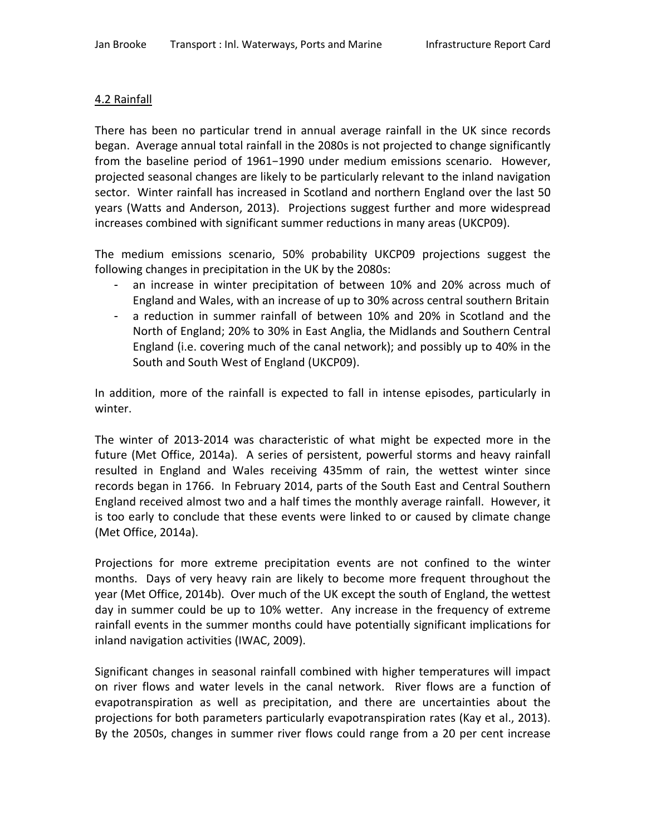## 4.2 Rainfall

There has been no particular trend in annual average rainfall in the UK since records began. Average annual total rainfall in the 2080s is not projected to change significantly from the baseline period of 1961−1990 under medium emissions scenario. However, projected seasonal changes are likely to be particularly relevant to the inland navigation sector. Winter rainfall has increased in Scotland and northern England over the last 50 years (Watts and Anderson, 2013). Projections suggest further and more widespread increases combined with significant summer reductions in many areas (UKCP09).

The medium emissions scenario, 50% probability UKCP09 projections suggest the following changes in precipitation in the UK by the 2080s:

- an increase in winter precipitation of between 10% and 20% across much of England and Wales, with an increase of up to 30% across central southern Britain
- a reduction in summer rainfall of between 10% and 20% in Scotland and the North of England; 20% to 30% in East Anglia, the Midlands and Southern Central England (i.e. covering much of the canal network); and possibly up to 40% in the South and South West of England (UKCP09).

In addition, more of the rainfall is expected to fall in intense episodes, particularly in winter.

The winter of 2013-2014 was characteristic of what might be expected more in the future (Met Office, 2014a). A series of persistent, powerful storms and heavy rainfall resulted in England and Wales receiving 435mm of rain, the wettest winter since records began in 1766. In February 2014, parts of the South East and Central Southern England received almost two and a half times the monthly average rainfall. However, it is too early to conclude that these events were linked to or caused by climate change (Met Office, 2014a).

Projections for more extreme precipitation events are not confined to the winter months. Days of very heavy rain are likely to become more frequent throughout the year (Met Office, 2014b). Over much of the UK except the south of England, the wettest day in summer could be up to 10% wetter. Any increase in the frequency of extreme rainfall events in the summer months could have potentially significant implications for inland navigation activities (IWAC, 2009).

Significant changes in seasonal rainfall combined with higher temperatures will impact on river flows and water levels in the canal network. River flows are a function of evapotranspiration as well as precipitation, and there are uncertainties about the projections for both parameters particularly evapotranspiration rates (Kay et al., 2013). By the 2050s, changes in summer river flows could range from a 20 per cent increase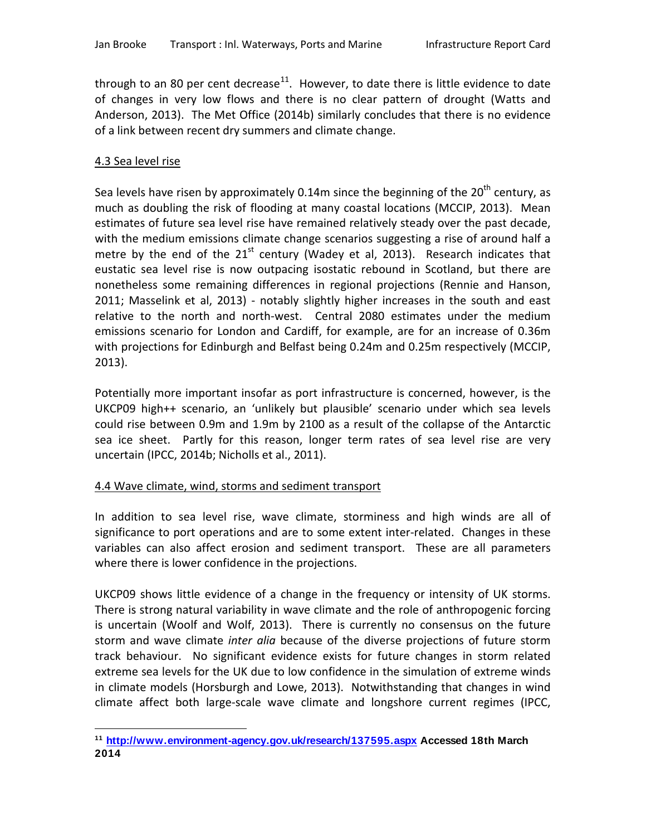through to an 80 per cent decrease<sup>[11](#page-8-3)</sup>. However, to date there is little evidence to date of changes in very low flows and there is no clear pattern of drought (Watts and Anderson, 2013). The Met Office (2014b) similarly concludes that there is no evidence of a link between recent dry summers and climate change.

### 4.3 Sea level rise

Sea levels have risen by approximately 0.14m since the beginning of the  $20<sup>th</sup>$  century, as much as doubling the risk of flooding at many coastal locations (MCCIP, 2013). Mean estimates of future sea level rise have remained relatively steady over the past decade, with the medium emissions climate change scenarios suggesting a rise of around half a metre by the end of the  $21^{st}$  century (Wadey et al, 2013). Research indicates that eustatic sea level rise is now outpacing isostatic rebound in Scotland, but there are nonetheless some remaining differences in regional projections (Rennie and Hanson, 2011; Masselink et al, 2013) - notably slightly higher increases in the south and east relative to the north and north-west. Central 2080 estimates under the medium emissions scenario for London and Cardiff, for example, are for an increase of 0.36m with projections for Edinburgh and Belfast being 0.24m and 0.25m respectively (MCCIP, 2013).

Potentially more important insofar as port infrastructure is concerned, however, is the UKCP09 high++ scenario, an 'unlikely but plausible' scenario under which sea levels could rise between 0.9m and 1.9m by 2100 as a result of the collapse of the Antarctic sea ice sheet. Partly for this reason, longer term rates of sea level rise are very uncertain (IPCC, 2014b; Nicholls et al., 2011).

# 4.4 Wave climate, wind, storms and sediment transport

In addition to sea level rise, wave climate, storminess and high winds are all of significance to port operations and are to some extent inter-related. Changes in these variables can also affect erosion and sediment transport. These are all parameters where there is lower confidence in the projections.

UKCP09 shows little evidence of a change in the frequency or intensity of UK storms. There is strong natural variability in wave climate and the role of anthropogenic forcing is uncertain (Woolf and Wolf, 2013). There is currently no consensus on the future storm and wave climate *inter alia* because of the diverse projections of future storm track behaviour. No significant evidence exists for future changes in storm related extreme sea levels for the UK due to low confidence in the simulation of extreme winds in climate models (Horsburgh and Lowe, 2013). Notwithstanding that changes in wind climate affect both large-scale wave climate and longshore current regimes (IPCC,

<span id="page-11-0"></span> $\overline{a}$ **<sup>11</sup> <http://www.environment-agency.gov.uk/research/137595.aspx> Accessed 18th March 2014**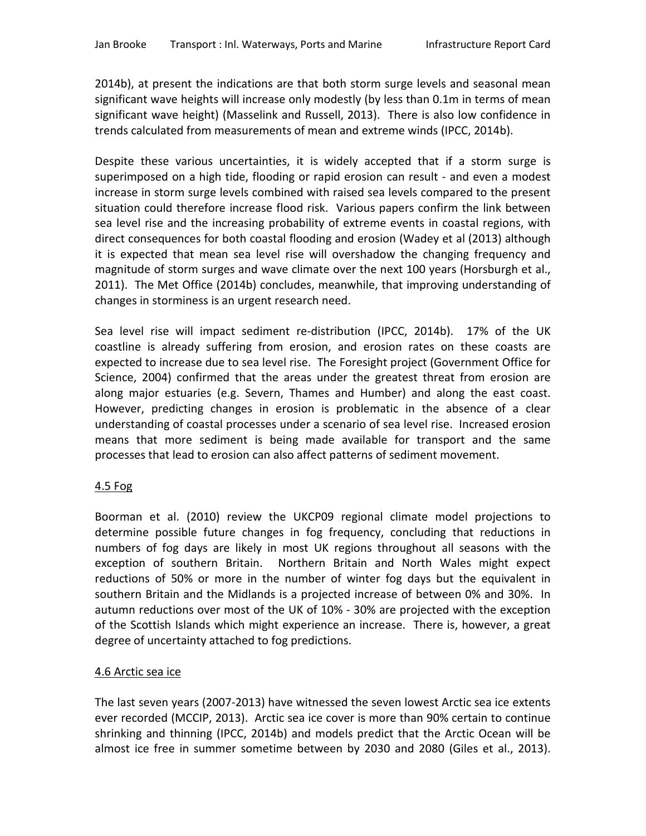2014b), at present the indications are that both storm surge levels and seasonal mean significant wave heights will increase only modestly (by less than 0.1m in terms of mean significant wave height) (Masselink and Russell, 2013). There is also low confidence in trends calculated from measurements of mean and extreme winds (IPCC, 2014b).

Despite these various uncertainties, it is widely accepted that if a storm surge is superimposed on a high tide, flooding or rapid erosion can result - and even a modest increase in storm surge levels combined with raised sea levels compared to the present situation could therefore increase flood risk. Various papers confirm the link between sea level rise and the increasing probability of extreme events in coastal regions, with direct consequences for both coastal flooding and erosion (Wadey et al (2013) although it is expected that mean sea level rise will overshadow the changing frequency and magnitude of storm surges and wave climate over the next 100 years (Horsburgh et al., 2011). The Met Office (2014b) concludes, meanwhile, that improving understanding of changes in storminess is an urgent research need.

Sea level rise will impact sediment re-distribution (IPCC, 2014b). 17% of the UK coastline is already suffering from erosion, and erosion rates on these coasts are expected to increase due to sea level rise. The Foresight project (Government Office for Science, 2004) confirmed that the areas under the greatest threat from erosion are along major estuaries (e.g. Severn, Thames and Humber) and along the east coast. However, predicting changes in erosion is problematic in the absence of a clear understanding of coastal processes under a scenario of sea level rise. Increased erosion means that more sediment is being made available for transport and the same processes that lead to erosion can also affect patterns of sediment movement.

# 4.5 Fog

Boorman et al. (2010) review the UKCP09 regional climate model projections to determine possible future changes in fog frequency, concluding that reductions in numbers of fog days are likely in most UK regions throughout all seasons with the exception of southern Britain. Northern Britain and North Wales might expect reductions of 50% or more in the number of winter fog days but the equivalent in southern Britain and the Midlands is a projected increase of between 0% and 30%. In autumn reductions over most of the UK of 10% - 30% are projected with the exception of the Scottish Islands which might experience an increase. There is, however, a great degree of uncertainty attached to fog predictions.

# 4.6 Arctic sea ice

The last seven years (2007-2013) have witnessed the seven lowest Arctic sea ice extents ever recorded (MCCIP, 2013). Arctic sea ice cover is more than 90% certain to continue shrinking and thinning (IPCC, 2014b) and models predict that the Arctic Ocean will be almost ice free in summer sometime between by 2030 and 2080 (Giles et al., 2013).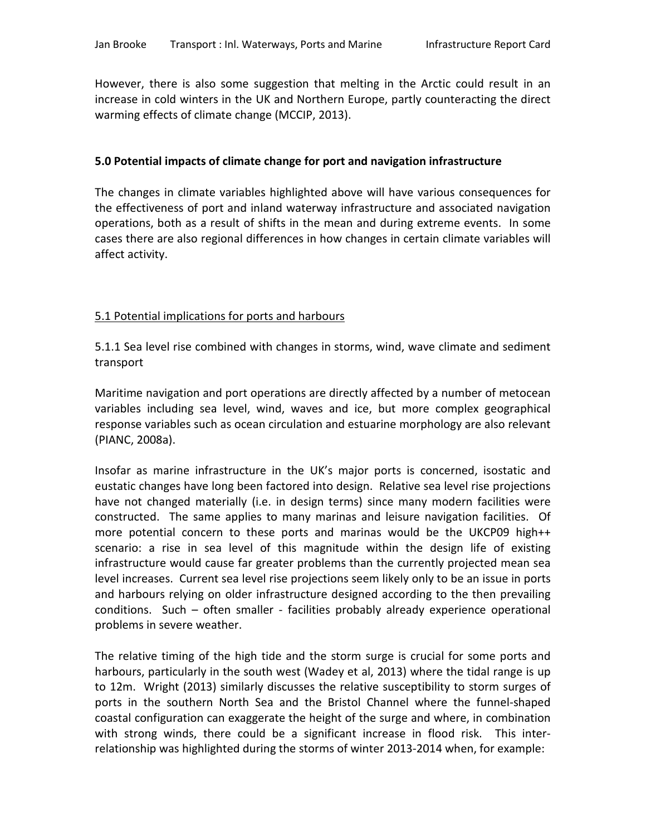However, there is also some suggestion that melting in the Arctic could result in an increase in cold winters in the UK and Northern Europe, partly counteracting the direct warming effects of climate change (MCCIP, 2013).

#### **5.0 Potential impacts of climate change for port and navigation infrastructure**

The changes in climate variables highlighted above will have various consequences for the effectiveness of port and inland waterway infrastructure and associated navigation operations, both as a result of shifts in the mean and during extreme events. In some cases there are also regional differences in how changes in certain climate variables will affect activity.

### 5.1 Potential implications for ports and harbours

5.1.1 Sea level rise combined with changes in storms, wind, wave climate and sediment transport

Maritime navigation and port operations are directly affected by a number of metocean variables including sea level, wind, waves and ice, but more complex geographical response variables such as ocean circulation and estuarine morphology are also relevant (PIANC, 2008a).

Insofar as marine infrastructure in the UK's major ports is concerned, isostatic and eustatic changes have long been factored into design. Relative sea level rise projections have not changed materially (i.e. in design terms) since many modern facilities were constructed. The same applies to many marinas and leisure navigation facilities. Of more potential concern to these ports and marinas would be the UKCP09 high++ scenario: a rise in sea level of this magnitude within the design life of existing infrastructure would cause far greater problems than the currently projected mean sea level increases. Current sea level rise projections seem likely only to be an issue in ports and harbours relying on older infrastructure designed according to the then prevailing conditions. Such – often smaller - facilities probably already experience operational problems in severe weather.

The relative timing of the high tide and the storm surge is crucial for some ports and harbours, particularly in the south west (Wadey et al, 2013) where the tidal range is up to 12m. Wright (2013) similarly discusses the relative susceptibility to storm surges of ports in the southern North Sea and the Bristol Channel where the funnel-shaped coastal configuration can exaggerate the height of the surge and where, in combination with strong winds, there could be a significant increase in flood risk. This interrelationship was highlighted during the storms of winter 2013-2014 when, for example: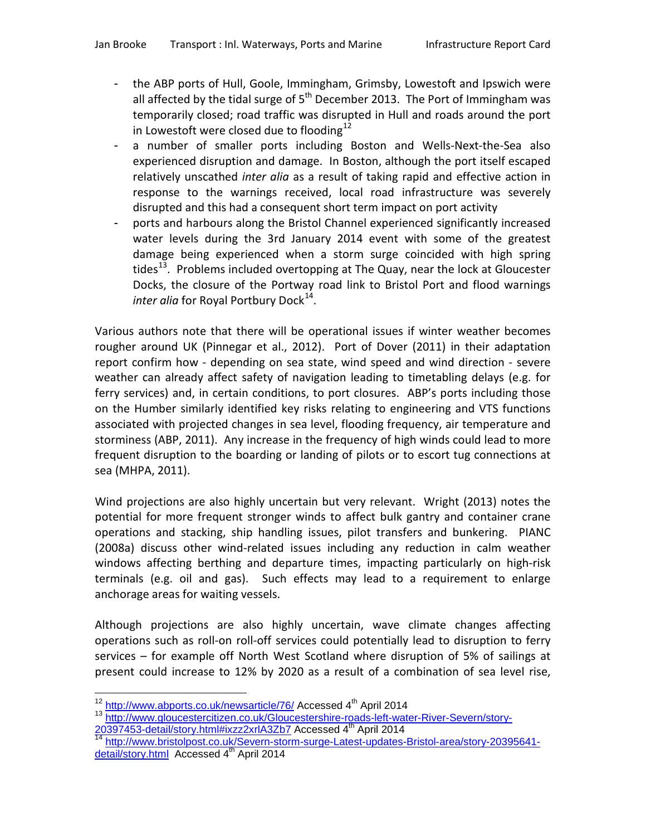- the ABP ports of Hull, Goole, Immingham, Grimsby, Lowestoft and Ipswich were all affected by the tidal surge of  $5<sup>th</sup>$  December 2013. The Port of Immingham was temporarily closed; road traffic was disrupted in Hull and roads around the port in Lowestoft were closed due to flooding<sup>[12](#page-11-0)</sup>
- a number of smaller ports including Boston and Wells-Next-the-Sea also experienced disruption and damage. In Boston, although the port itself escaped relatively unscathed *inter alia* as a result of taking rapid and effective action in response to the warnings received, local road infrastructure was severely disrupted and this had a consequent short term impact on port activity
- ports and harbours along the Bristol Channel experienced significantly increased water levels during the 3rd January 2014 event with some of the greatest damage being experienced when a storm surge coincided with high spring tides<sup>[13](#page-14-0)</sup>. Problems included overtopping at The Quay, near the lock at Gloucester Docks, the closure of the Portway road link to Bristol Port and flood warnings *inter alia* for Royal Portbury Dock<sup>[14](#page-14-1)</sup>.

Various authors note that there will be operational issues if winter weather becomes rougher around UK (Pinnegar et al., 2012). Port of Dover (2011) in their adaptation report confirm how - depending on sea state, wind speed and wind direction - severe weather can already affect safety of navigation leading to timetabling delays (e.g. for ferry services) and, in certain conditions, to port closures. ABP's ports including those on the Humber similarly identified key risks relating to engineering and VTS functions associated with projected changes in sea level, flooding frequency, air temperature and storminess (ABP, 2011). Any increase in the frequency of high winds could lead to more frequent disruption to the boarding or landing of pilots or to escort tug connections at sea (MHPA, 2011).

Wind projections are also highly uncertain but very relevant. Wright (2013) notes the potential for more frequent stronger winds to affect bulk gantry and container crane operations and stacking, ship handling issues, pilot transfers and bunkering. PIANC (2008a) discuss other wind-related issues including any reduction in calm weather windows affecting berthing and departure times, impacting particularly on high-risk terminals (e.g. oil and gas). Such effects may lead to a requirement to enlarge anchorage areas for waiting vessels.

Although projections are also highly uncertain, wave climate changes affecting operations such as roll-on roll-off services could potentially lead to disruption to ferry services – for example off North West Scotland where disruption of 5% of sailings at present could increase to 12% by 2020 as a result of a combination of sea level rise,

<span id="page-14-2"></span><span id="page-14-1"></span>2020 Accessed Accessed Attn://www.bristolpost.co.uk/Severn-storm-surge-Latest-updates-Bristol-area/story-20395641[detail/story.html](http://www.bristolpost.co.uk/Severn-storm-surge-Latest-updates-Bristol-area/story-20395641-detail/story.html) Accessed 4<sup>th</sup> April 2014

<span id="page-14-0"></span><sup>&</sup>lt;sup>12</sup> http://www.abports.co.uk/newsarticle/76/ Accessed 4<sup>th</sup> April 2014<br><sup>13</sup> http://www.gloucestercitizen.co.uk/Gloucestershire-roads-left-water-River-Severn/story-<br>20397453-detail/story.html#ixzz2xrlA3Zb7\_Accessed 4<sup>th</sup> A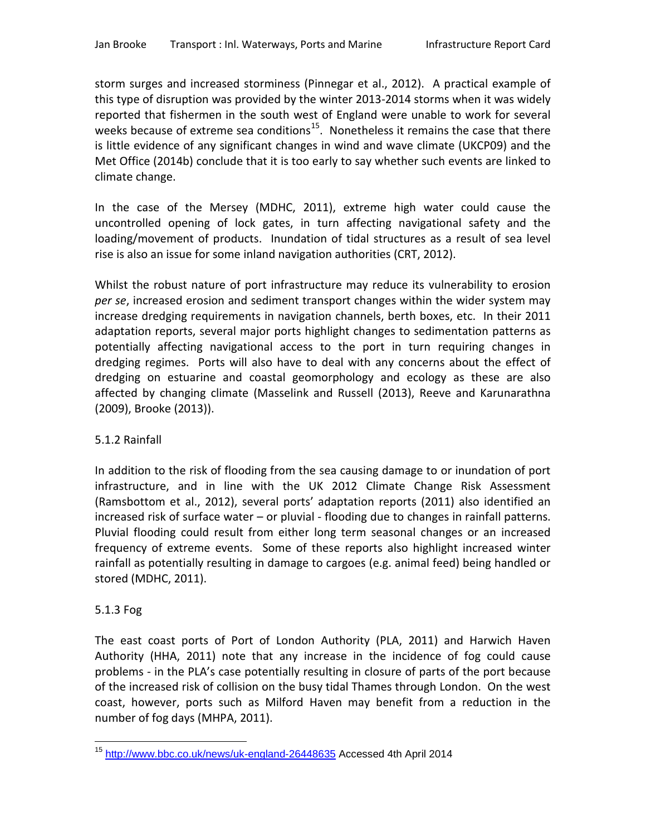storm surges and increased storminess (Pinnegar et al., 2012). A practical example of this type of disruption was provided by the winter 2013-2014 storms when it was widely reported that fishermen in the south west of England were unable to work for several weeks because of extreme sea conditions<sup>[15](#page-14-2)</sup>. Nonetheless it remains the case that there is little evidence of any significant changes in wind and wave climate (UKCP09) and the Met Office (2014b) conclude that it is too early to say whether such events are linked to climate change.

In the case of the Mersey (MDHC, 2011), extreme high water could cause the uncontrolled opening of lock gates, in turn affecting navigational safety and the loading/movement of products. Inundation of tidal structures as a result of sea level rise is also an issue for some inland navigation authorities (CRT, 2012).

Whilst the robust nature of port infrastructure may reduce its vulnerability to erosion *per se*, increased erosion and sediment transport changes within the wider system may increase dredging requirements in navigation channels, berth boxes, etc. In their 2011 adaptation reports, several major ports highlight changes to sedimentation patterns as potentially affecting navigational access to the port in turn requiring changes in dredging regimes. Ports will also have to deal with any concerns about the effect of dredging on estuarine and coastal geomorphology and ecology as these are also affected by changing climate (Masselink and Russell (2013), Reeve and Karunarathna (2009), Brooke (2013)).

# 5.1.2 Rainfall

In addition to the risk of flooding from the sea causing damage to or inundation of port infrastructure, and in line with the UK 2012 Climate Change Risk Assessment (Ramsbottom et al., 2012), several ports' adaptation reports (2011) also identified an increased risk of surface water – or pluvial - flooding due to changes in rainfall patterns. Pluvial flooding could result from either long term seasonal changes or an increased frequency of extreme events. Some of these reports also highlight increased winter rainfall as potentially resulting in damage to cargoes (e.g. animal feed) being handled or stored (MDHC, 2011).

# 5.1.3 Fog

The east coast ports of Port of London Authority (PLA, 2011) and Harwich Haven Authority (HHA, 2011) note that any increase in the incidence of fog could cause problems - in the PLA's case potentially resulting in closure of parts of the port because of the increased risk of collision on the busy tidal Thames through London. On the west coast, however, ports such as Milford Haven may benefit from a reduction in the number of fog days (MHPA, 2011).

<span id="page-15-0"></span><sup>15</sup> <http://www.bbc.co.uk/news/uk-england-26448635> Accessed 4th April 2014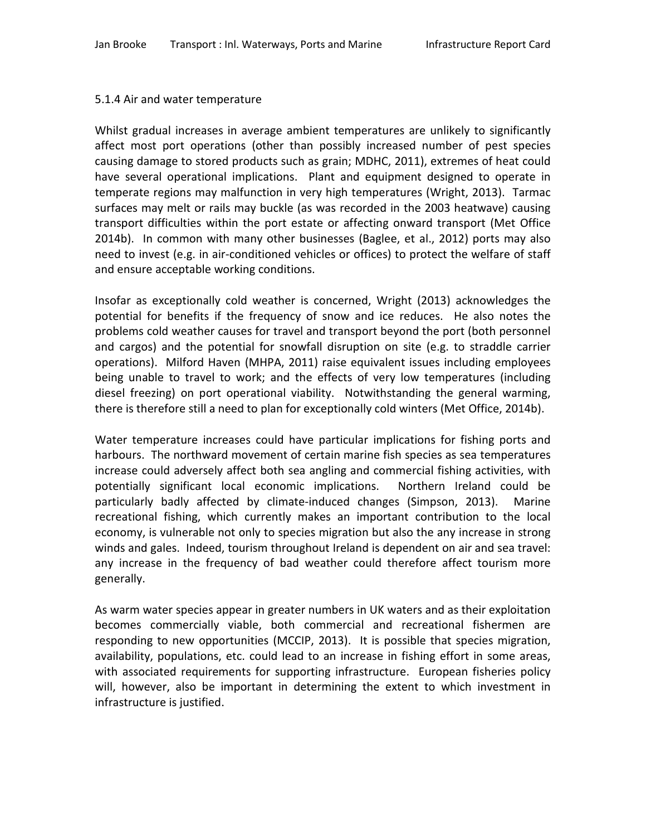#### 5.1.4 Air and water temperature

Whilst gradual increases in average ambient temperatures are unlikely to significantly affect most port operations (other than possibly increased number of pest species causing damage to stored products such as grain; MDHC, 2011), extremes of heat could have several operational implications. Plant and equipment designed to operate in temperate regions may malfunction in very high temperatures (Wright, 2013). Tarmac surfaces may melt or rails may buckle (as was recorded in the 2003 heatwave) causing transport difficulties within the port estate or affecting onward transport (Met Office 2014b). In common with many other businesses (Baglee, et al., 2012) ports may also need to invest (e.g. in air-conditioned vehicles or offices) to protect the welfare of staff and ensure acceptable working conditions.

Insofar as exceptionally cold weather is concerned, Wright (2013) acknowledges the potential for benefits if the frequency of snow and ice reduces. He also notes the problems cold weather causes for travel and transport beyond the port (both personnel and cargos) and the potential for snowfall disruption on site (e.g. to straddle carrier operations). Milford Haven (MHPA, 2011) raise equivalent issues including employees being unable to travel to work; and the effects of very low temperatures (including diesel freezing) on port operational viability. Notwithstanding the general warming, there is therefore still a need to plan for exceptionally cold winters (Met Office, 2014b).

Water temperature increases could have particular implications for fishing ports and harbours. The northward movement of certain marine fish species as sea temperatures increase could adversely affect both sea angling and commercial fishing activities, with potentially significant local economic implications. Northern Ireland could be particularly badly affected by climate-induced changes (Simpson, 2013). Marine recreational fishing, which currently makes an important contribution to the local economy, is vulnerable not only to species migration but also the any increase in strong winds and gales. Indeed, tourism throughout Ireland is dependent on air and sea travel: any increase in the frequency of bad weather could therefore affect tourism more generally.

As warm water species appear in greater numbers in UK waters and as their exploitation becomes commercially viable, both commercial and recreational fishermen are responding to new opportunities (MCCIP, 2013). It is possible that species migration, availability, populations, etc. could lead to an increase in fishing effort in some areas, with associated requirements for supporting infrastructure. European fisheries policy will, however, also be important in determining the extent to which investment in infrastructure is justified.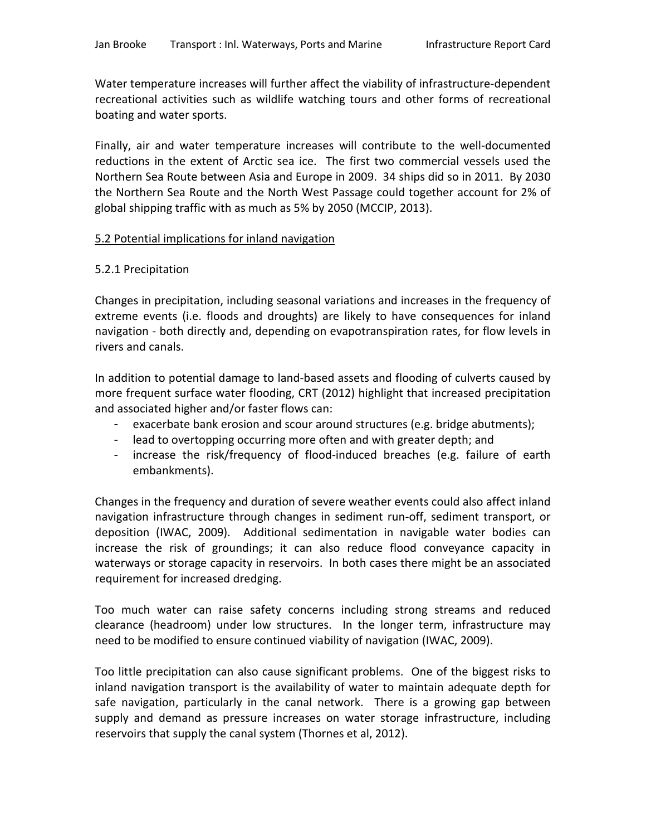Water temperature increases will further affect the viability of infrastructure-dependent recreational activities such as wildlife watching tours and other forms of recreational boating and water sports.

Finally, air and water temperature increases will contribute to the well-documented reductions in the extent of Arctic sea ice. The first two commercial vessels used the Northern Sea Route between Asia and Europe in 2009. 34 ships did so in 2011. By 2030 the Northern Sea Route and the North West Passage could together account for 2% of global shipping traffic with as much as 5% by 2050 (MCCIP, 2013).

### 5.2 Potential implications for inland navigation

### 5.2.1 Precipitation

Changes in precipitation, including seasonal variations and increases in the frequency of extreme events (i.e. floods and droughts) are likely to have consequences for inland navigation - both directly and, depending on evapotranspiration rates, for flow levels in rivers and canals.

In addition to potential damage to land-based assets and flooding of culverts caused by more frequent surface water flooding, CRT (2012) highlight that increased precipitation and associated higher and/or faster flows can:

- exacerbate bank erosion and scour around structures (e.g. bridge abutments);
- lead to overtopping occurring more often and with greater depth; and
- increase the risk/frequency of flood-induced breaches (e.g. failure of earth embankments).

Changes in the frequency and duration of severe weather events could also affect inland navigation infrastructure through changes in sediment run-off, sediment transport, or deposition (IWAC, 2009). Additional sedimentation in navigable water bodies can increase the risk of groundings; it can also reduce flood conveyance capacity in waterways or storage capacity in reservoirs. In both cases there might be an associated requirement for increased dredging.

Too much water can raise safety concerns including strong streams and reduced clearance (headroom) under low structures. In the longer term, infrastructure may need to be modified to ensure continued viability of navigation (IWAC, 2009).

Too little precipitation can also cause significant problems. One of the biggest risks to inland navigation transport is the availability of water to maintain adequate depth for safe navigation, particularly in the canal network. There is a growing gap between supply and demand as pressure increases on water storage infrastructure, including reservoirs that supply the canal system (Thornes et al, 2012).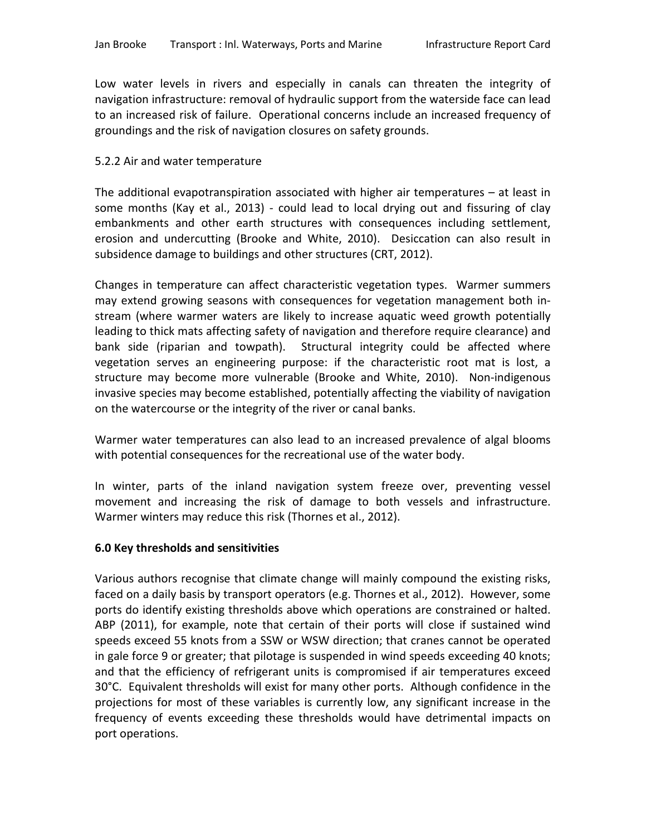Low water levels in rivers and especially in canals can threaten the integrity of navigation infrastructure: removal of hydraulic support from the waterside face can lead to an increased risk of failure. Operational concerns include an increased frequency of groundings and the risk of navigation closures on safety grounds.

#### 5.2.2 Air and water temperature

The additional evapotranspiration associated with higher air temperatures – at least in some months (Kay et al., 2013) - could lead to local drying out and fissuring of clay embankments and other earth structures with consequences including settlement, erosion and undercutting (Brooke and White, 2010). Desiccation can also result in subsidence damage to buildings and other structures (CRT, 2012).

Changes in temperature can affect characteristic vegetation types. Warmer summers may extend growing seasons with consequences for vegetation management both instream (where warmer waters are likely to increase aquatic weed growth potentially leading to thick mats affecting safety of navigation and therefore require clearance) and bank side (riparian and towpath). Structural integrity could be affected where vegetation serves an engineering purpose: if the characteristic root mat is lost, a structure may become more vulnerable (Brooke and White, 2010). Non-indigenous invasive species may become established, potentially affecting the viability of navigation on the watercourse or the integrity of the river or canal banks.

Warmer water temperatures can also lead to an increased prevalence of algal blooms with potential consequences for the recreational use of the water body.

In winter, parts of the inland navigation system freeze over, preventing vessel movement and increasing the risk of damage to both vessels and infrastructure. Warmer winters may reduce this risk (Thornes et al., 2012).

#### **6.0 Key thresholds and sensitivities**

Various authors recognise that climate change will mainly compound the existing risks, faced on a daily basis by transport operators (e.g. Thornes et al., 2012). However, some ports do identify existing thresholds above which operations are constrained or halted. ABP (2011), for example, note that certain of their ports will close if sustained wind speeds exceed 55 knots from a SSW or WSW direction; that cranes cannot be operated in gale force 9 or greater; that pilotage is suspended in wind speeds exceeding 40 knots; and that the efficiency of refrigerant units is compromised if air temperatures exceed 30°C. Equivalent thresholds will exist for many other ports. Although confidence in the projections for most of these variables is currently low, any significant increase in the frequency of events exceeding these thresholds would have detrimental impacts on port operations.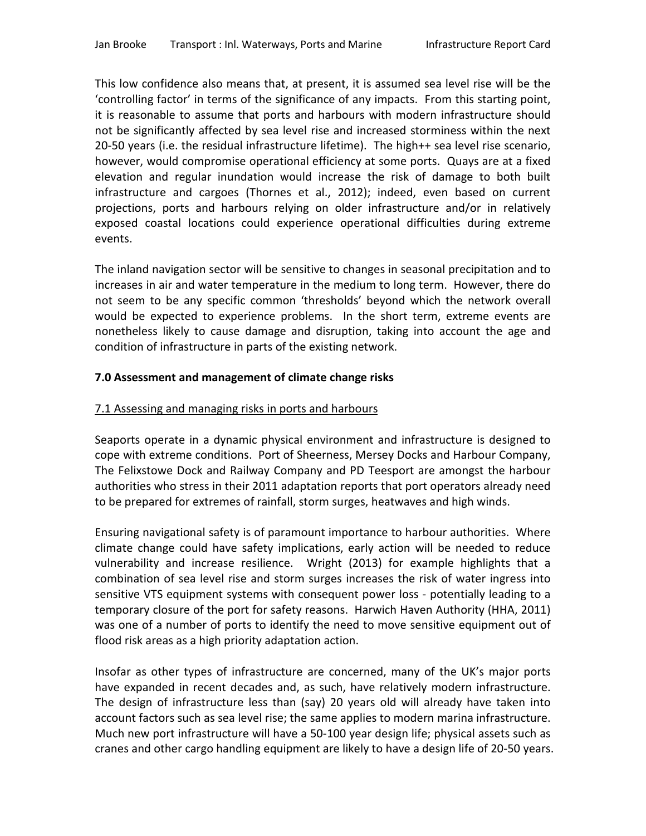This low confidence also means that, at present, it is assumed sea level rise will be the 'controlling factor' in terms of the significance of any impacts. From this starting point, it is reasonable to assume that ports and harbours with modern infrastructure should not be significantly affected by sea level rise and increased storminess within the next 20-50 years (i.e. the residual infrastructure lifetime). The high++ sea level rise scenario, however, would compromise operational efficiency at some ports. Quays are at a fixed elevation and regular inundation would increase the risk of damage to both built infrastructure and cargoes (Thornes et al., 2012); indeed, even based on current projections, ports and harbours relying on older infrastructure and/or in relatively exposed coastal locations could experience operational difficulties during extreme events.

The inland navigation sector will be sensitive to changes in seasonal precipitation and to increases in air and water temperature in the medium to long term. However, there do not seem to be any specific common 'thresholds' beyond which the network overall would be expected to experience problems. In the short term, extreme events are nonetheless likely to cause damage and disruption, taking into account the age and condition of infrastructure in parts of the existing network.

# **7.0 Assessment and management of climate change risks**

#### 7.1 Assessing and managing risks in ports and harbours

Seaports operate in a dynamic physical environment and infrastructure is designed to cope with extreme conditions. Port of Sheerness, Mersey Docks and Harbour Company, The Felixstowe Dock and Railway Company and PD Teesport are amongst the harbour authorities who stress in their 2011 adaptation reports that port operators already need to be prepared for extremes of rainfall, storm surges, heatwaves and high winds.

Ensuring navigational safety is of paramount importance to harbour authorities. Where climate change could have safety implications, early action will be needed to reduce vulnerability and increase resilience. Wright (2013) for example highlights that a combination of sea level rise and storm surges increases the risk of water ingress into sensitive VTS equipment systems with consequent power loss - potentially leading to a temporary closure of the port for safety reasons. Harwich Haven Authority (HHA, 2011) was one of a number of ports to identify the need to move sensitive equipment out of flood risk areas as a high priority adaptation action.

Insofar as other types of infrastructure are concerned, many of the UK's major ports have expanded in recent decades and, as such, have relatively modern infrastructure. The design of infrastructure less than (say) 20 years old will already have taken into account factors such as sea level rise; the same applies to modern marina infrastructure. Much new port infrastructure will have a 50-100 year design life; physical assets such as cranes and other cargo handling equipment are likely to have a design life of 20-50 years.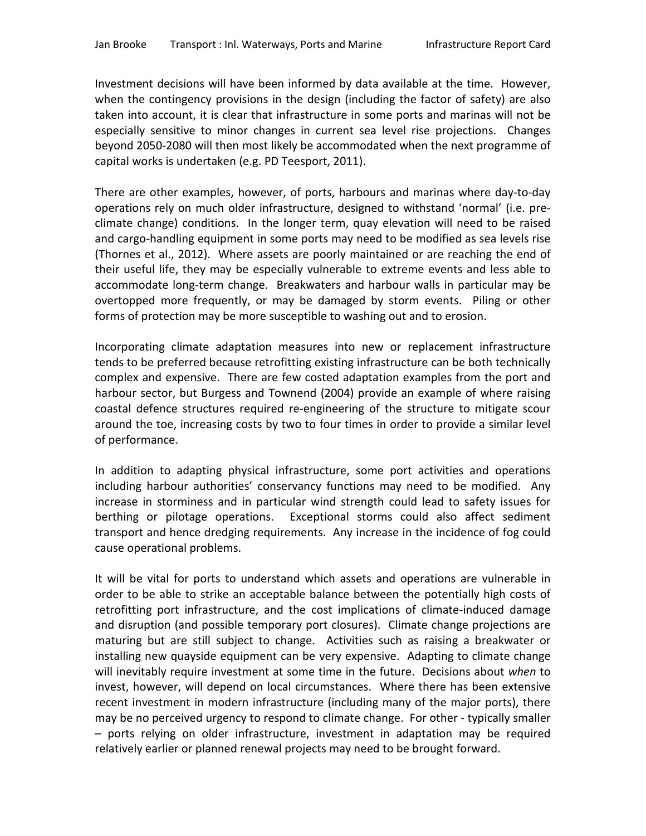Investment decisions will have been informed by data available at the time. However, when the contingency provisions in the design (including the factor of safety) are also taken into account, it is clear that infrastructure in some ports and marinas will not be especially sensitive to minor changes in current sea level rise projections. Changes beyond 2050-2080 will then most likely be accommodated when the next programme of capital works is undertaken (e.g. PD Teesport, 2011).

There are other examples, however, of ports, harbours and marinas where day-to-day operations rely on much older infrastructure, designed to withstand 'normal' (i.e. preclimate change) conditions. In the longer term, quay elevation will need to be raised and cargo-handling equipment in some ports may need to be modified as sea levels rise (Thornes et al., 2012). Where assets are poorly maintained or are reaching the end of their useful life, they may be especially vulnerable to extreme events and less able to accommodate long-term change. Breakwaters and harbour walls in particular may be overtopped more frequently, or may be damaged by storm events. Piling or other forms of protection may be more susceptible to washing out and to erosion.

Incorporating climate adaptation measures into new or replacement infrastructure tends to be preferred because retrofitting existing infrastructure can be both technically complex and expensive. There are few costed adaptation examples from the port and harbour sector, but Burgess and Townend (2004) provide an example of where raising coastal defence structures required re-engineering of the structure to mitigate scour around the toe, increasing costs by two to four times in order to provide a similar level of performance.

In addition to adapting physical infrastructure, some port activities and operations including harbour authorities' conservancy functions may need to be modified. Any increase in storminess and in particular wind strength could lead to safety issues for berthing or pilotage operations. Exceptional storms could also affect sediment transport and hence dredging requirements. Any increase in the incidence of fog could cause operational problems.

It will be vital for ports to understand which assets and operations are vulnerable in order to be able to strike an acceptable balance between the potentially high costs of retrofitting port infrastructure, and the cost implications of climate-induced damage and disruption (and possible temporary port closures). Climate change projections are maturing but are still subject to change. Activities such as raising a breakwater or installing new quayside equipment can be very expensive. Adapting to climate change will inevitably require investment at some time in the future. Decisions about *when* to invest, however, will depend on local circumstances. Where there has been extensive recent investment in modern infrastructure (including many of the major ports), there may be no perceived urgency to respond to climate change. For other - typically smaller – ports relying on older infrastructure, investment in adaptation may be required relatively earlier or planned renewal projects may need to be brought forward.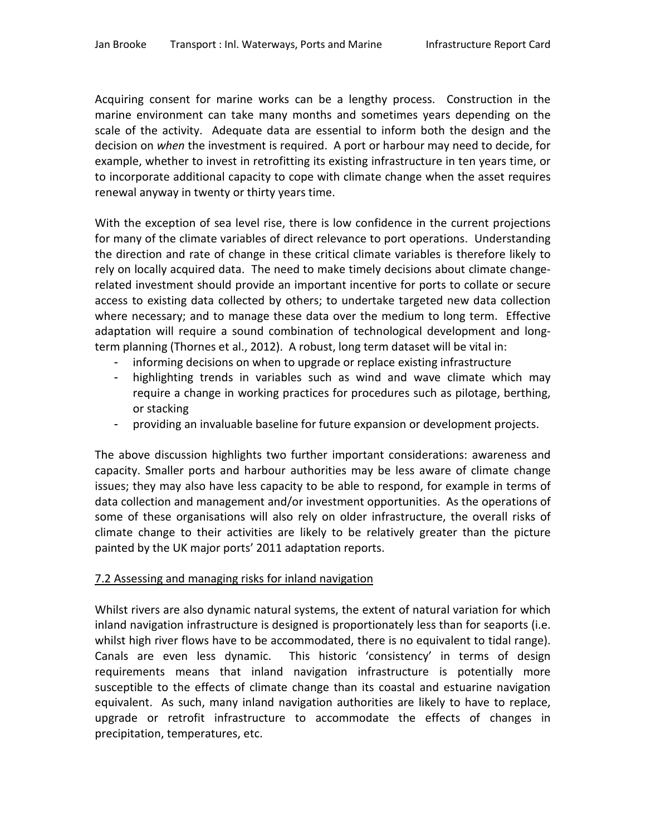Acquiring consent for marine works can be a lengthy process. Construction in the marine environment can take many months and sometimes years depending on the scale of the activity. Adequate data are essential to inform both the design and the decision on *when* the investment is required. A port or harbour may need to decide, for example, whether to invest in retrofitting its existing infrastructure in ten years time, or to incorporate additional capacity to cope with climate change when the asset requires renewal anyway in twenty or thirty years time.

With the exception of sea level rise, there is low confidence in the current projections for many of the climate variables of direct relevance to port operations. Understanding the direction and rate of change in these critical climate variables is therefore likely to rely on locally acquired data. The need to make timely decisions about climate changerelated investment should provide an important incentive for ports to collate or secure access to existing data collected by others; to undertake targeted new data collection where necessary; and to manage these data over the medium to long term. Effective adaptation will require a sound combination of technological development and longterm planning (Thornes et al., 2012). A robust, long term dataset will be vital in:

- informing decisions on when to upgrade or replace existing infrastructure
- highlighting trends in variables such as wind and wave climate which may require a change in working practices for procedures such as pilotage, berthing, or stacking
- providing an invaluable baseline for future expansion or development projects.

The above discussion highlights two further important considerations: awareness and capacity. Smaller ports and harbour authorities may be less aware of climate change issues; they may also have less capacity to be able to respond, for example in terms of data collection and management and/or investment opportunities. As the operations of some of these organisations will also rely on older infrastructure, the overall risks of climate change to their activities are likely to be relatively greater than the picture painted by the UK major ports' 2011 adaptation reports.

# 7.2 Assessing and managing risks for inland navigation

Whilst rivers are also dynamic natural systems, the extent of natural variation for which inland navigation infrastructure is designed is proportionately less than for seaports (i.e. whilst high river flows have to be accommodated, there is no equivalent to tidal range). Canals are even less dynamic. This historic 'consistency' in terms of design requirements means that inland navigation infrastructure is potentially more susceptible to the effects of climate change than its coastal and estuarine navigation equivalent. As such, many inland navigation authorities are likely to have to replace, upgrade or retrofit infrastructure to accommodate the effects of changes in precipitation, temperatures, etc.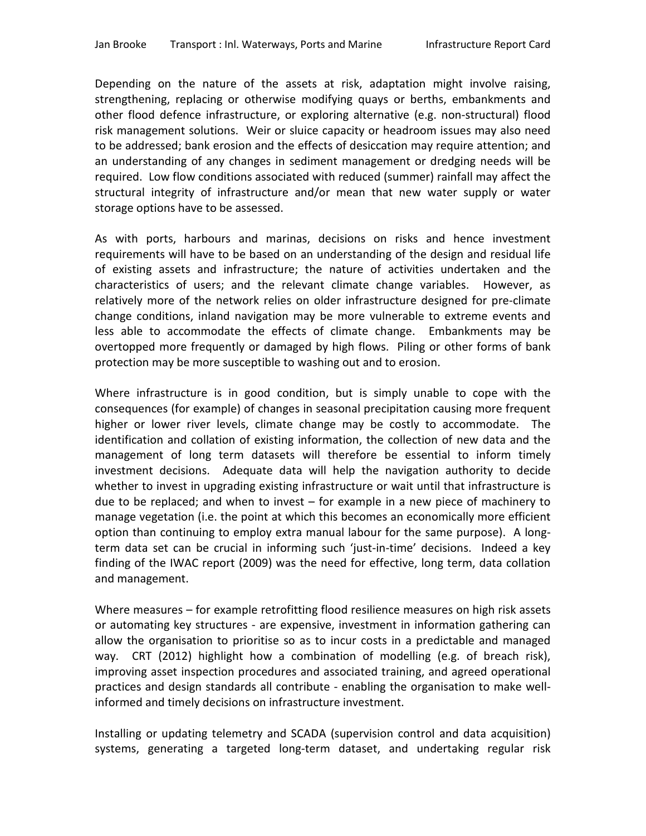Depending on the nature of the assets at risk, adaptation might involve raising, strengthening, replacing or otherwise modifying quays or berths, embankments and other flood defence infrastructure, or exploring alternative (e.g. non-structural) flood risk management solutions. Weir or sluice capacity or headroom issues may also need to be addressed; bank erosion and the effects of desiccation may require attention; and an understanding of any changes in sediment management or dredging needs will be required. Low flow conditions associated with reduced (summer) rainfall may affect the structural integrity of infrastructure and/or mean that new water supply or water storage options have to be assessed.

As with ports, harbours and marinas, decisions on risks and hence investment requirements will have to be based on an understanding of the design and residual life of existing assets and infrastructure; the nature of activities undertaken and the characteristics of users; and the relevant climate change variables. However, as relatively more of the network relies on older infrastructure designed for pre-climate change conditions, inland navigation may be more vulnerable to extreme events and less able to accommodate the effects of climate change. Embankments may be overtopped more frequently or damaged by high flows. Piling or other forms of bank protection may be more susceptible to washing out and to erosion.

Where infrastructure is in good condition, but is simply unable to cope with the consequences (for example) of changes in seasonal precipitation causing more frequent higher or lower river levels, climate change may be costly to accommodate. The identification and collation of existing information, the collection of new data and the management of long term datasets will therefore be essential to inform timely investment decisions. Adequate data will help the navigation authority to decide whether to invest in upgrading existing infrastructure or wait until that infrastructure is due to be replaced; and when to invest – for example in a new piece of machinery to manage vegetation (i.e. the point at which this becomes an economically more efficient option than continuing to employ extra manual labour for the same purpose). A longterm data set can be crucial in informing such 'just-in-time' decisions. Indeed a key finding of the IWAC report (2009) was the need for effective, long term, data collation and management.

Where measures – for example retrofitting flood resilience measures on high risk assets or automating key structures - are expensive, investment in information gathering can allow the organisation to prioritise so as to incur costs in a predictable and managed way. CRT (2012) highlight how a combination of modelling (e.g. of breach risk), improving asset inspection procedures and associated training, and agreed operational practices and design standards all contribute - enabling the organisation to make wellinformed and timely decisions on infrastructure investment.

Installing or updating telemetry and SCADA (supervision control and data acquisition) systems, generating a targeted long-term dataset, and undertaking regular risk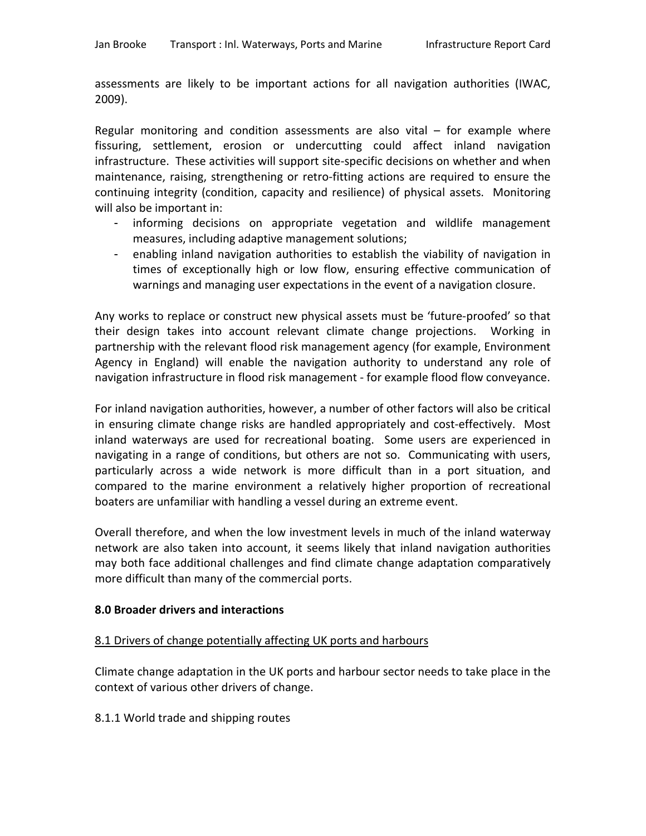assessments are likely to be important actions for all navigation authorities (IWAC, 2009).

Regular monitoring and condition assessments are also vital – for example where fissuring, settlement, erosion or undercutting could affect inland navigation infrastructure. These activities will support site-specific decisions on whether and when maintenance, raising, strengthening or retro-fitting actions are required to ensure the continuing integrity (condition, capacity and resilience) of physical assets. Monitoring will also be important in:

- informing decisions on appropriate vegetation and wildlife management measures, including adaptive management solutions;
- enabling inland navigation authorities to establish the viability of navigation in times of exceptionally high or low flow, ensuring effective communication of warnings and managing user expectations in the event of a navigation closure.

Any works to replace or construct new physical assets must be 'future-proofed' so that their design takes into account relevant climate change projections. Working in partnership with the relevant flood risk management agency (for example, Environment Agency in England) will enable the navigation authority to understand any role of navigation infrastructure in flood risk management - for example flood flow conveyance.

For inland navigation authorities, however, a number of other factors will also be critical in ensuring climate change risks are handled appropriately and cost-effectively. Most inland waterways are used for recreational boating. Some users are experienced in navigating in a range of conditions, but others are not so. Communicating with users, particularly across a wide network is more difficult than in a port situation, and compared to the marine environment a relatively higher proportion of recreational boaters are unfamiliar with handling a vessel during an extreme event.

Overall therefore, and when the low investment levels in much of the inland waterway network are also taken into account, it seems likely that inland navigation authorities may both face additional challenges and find climate change adaptation comparatively more difficult than many of the commercial ports.

# **8.0 Broader drivers and interactions**

# 8.1 Drivers of change potentially affecting UK ports and harbours

Climate change adaptation in the UK ports and harbour sector needs to take place in the context of various other drivers of change.

8.1.1 World trade and shipping routes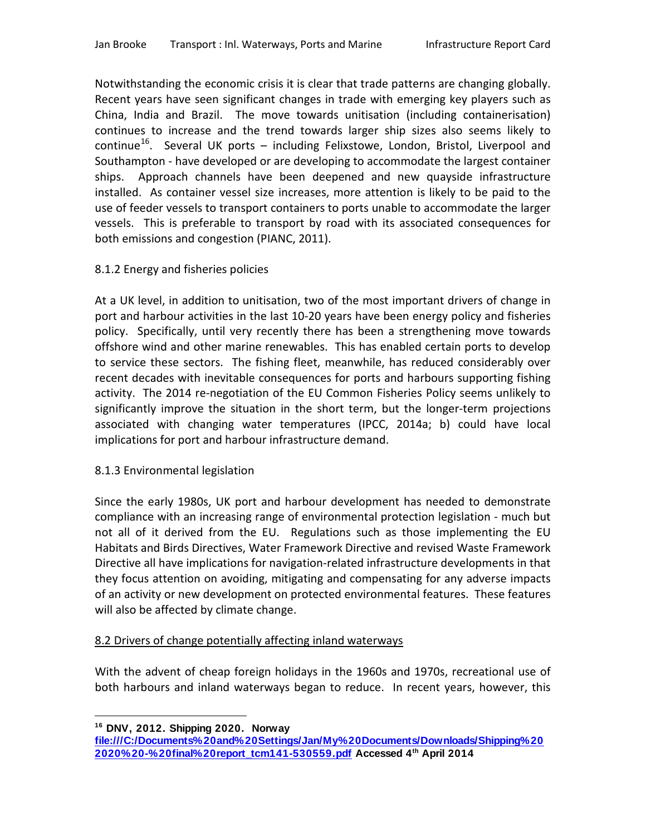Notwithstanding the economic crisis it is clear that trade patterns are changing globally. Recent years have seen significant changes in trade with emerging key players such as China, India and Brazil. The move towards unitisation (including containerisation) continues to increase and the trend towards larger ship sizes also seems likely to continue<sup>16</sup>. Several UK ports – including Felixstowe, London, Bristol, Liverpool and Southampton - have developed or are developing to accommodate the largest container ships. Approach channels have been deepened and new quayside infrastructure installed. As container vessel size increases, more attention is likely to be paid to the use of feeder vessels to transport containers to ports unable to accommodate the larger vessels. This is preferable to transport by road with its associated consequences for both emissions and congestion (PIANC, 2011).

# 8.1.2 Energy and fisheries policies

At a UK level, in addition to unitisation, two of the most important drivers of change in port and harbour activities in the last 10-20 years have been energy policy and fisheries policy. Specifically, until very recently there has been a strengthening move towards offshore wind and other marine renewables. This has enabled certain ports to develop to service these sectors. The fishing fleet, meanwhile, has reduced considerably over recent decades with inevitable consequences for ports and harbours supporting fishing activity. The 2014 re-negotiation of the EU Common Fisheries Policy seems unlikely to significantly improve the situation in the short term, but the longer-term projections associated with changing water temperatures (IPCC, 2014a; b) could have local implications for port and harbour infrastructure demand.

# 8.1.3 Environmental legislation

Since the early 1980s, UK port and harbour development has needed to demonstrate compliance with an increasing range of environmental protection legislation - much but not all of it derived from the EU. Regulations such as those implementing the EU Habitats and Birds Directives, Water Framework Directive and revised Waste Framework Directive all have implications for navigation-related infrastructure developments in that they focus attention on avoiding, mitigating and compensating for any adverse impacts of an activity or new development on protected environmental features. These features will also be affected by climate change.

# 8.2 Drivers of change potentially affecting inland waterways

With the advent of cheap foreign holidays in the 1960s and 1970s, recreational use of both harbours and inland waterways began to reduce. In recent years, however, this

 $\overline{a}$ **<sup>16</sup> DNV, 2012. Shipping 2020. Norway** 

<span id="page-24-0"></span>**file:///C:/Documents%20and%20Settings/Jan/My%20Documents/Downloads/Shipping%20 2020%20-%20final%20report\_tcm141-530559.pdf Accessed 4th April 2014**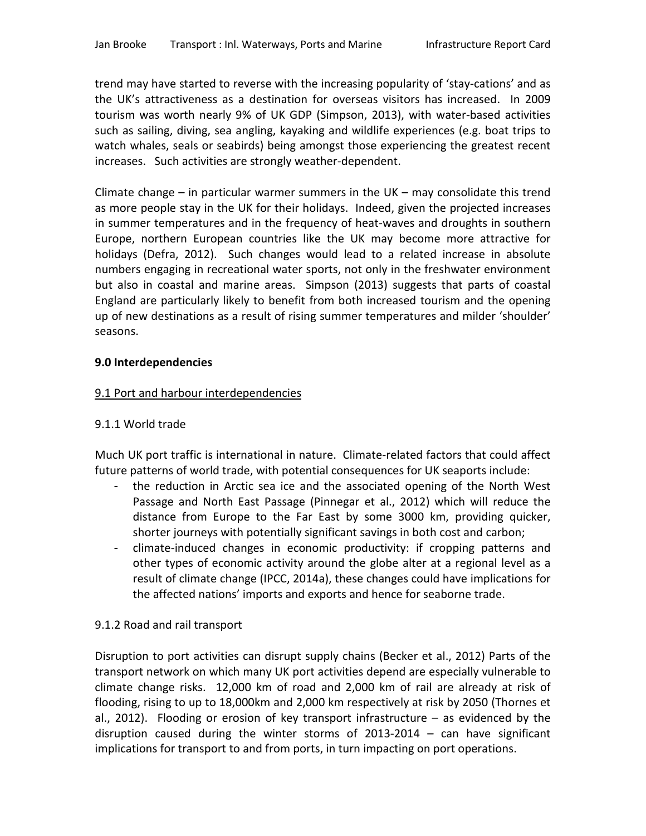trend may have started to reverse with the increasing popularity of 'stay-cations' and as the UK's attractiveness as a destination for overseas visitors has increased. In 2009 tourism was worth nearly 9% of UK GDP (Simpson, 2013), with water-based activities such as sailing, diving, sea angling, kayaking and wildlife experiences (e.g. boat trips to watch whales, seals or seabirds) being amongst those experiencing the greatest recent increases. Such activities are strongly weather-dependent.

Climate change – in particular warmer summers in the UK – may consolidate this trend as more people stay in the UK for their holidays. Indeed, given the projected increases in summer temperatures and in the frequency of heat-waves and droughts in southern Europe, northern European countries like the UK may become more attractive for holidays (Defra, 2012). Such changes would lead to a related increase in absolute numbers engaging in recreational water sports, not only in the freshwater environment but also in coastal and marine areas. Simpson (2013) suggests that parts of coastal England are particularly likely to benefit from both increased tourism and the opening up of new destinations as a result of rising summer temperatures and milder 'shoulder' seasons.

# **9.0 Interdependencies**

### 9.1 Port and harbour interdependencies

### 9.1.1 World trade

Much UK port traffic is international in nature. Climate-related factors that could affect future patterns of world trade, with potential consequences for UK seaports include:

- the reduction in Arctic sea ice and the associated opening of the North West Passage and North East Passage (Pinnegar et al., 2012) which will reduce the distance from Europe to the Far East by some 3000 km, providing quicker, shorter journeys with potentially significant savings in both cost and carbon;
- climate-induced changes in economic productivity: if cropping patterns and other types of economic activity around the globe alter at a regional level as a result of climate change (IPCC, 2014a), these changes could have implications for the affected nations' imports and exports and hence for seaborne trade.

#### 9.1.2 Road and rail transport

Disruption to port activities can disrupt supply chains (Becker et al., 2012) Parts of the transport network on which many UK port activities depend are especially vulnerable to climate change risks. 12,000 km of road and 2,000 km of rail are already at risk of flooding, rising to up to 18,000km and 2,000 km respectively at risk by 2050 (Thornes et al., 2012). Flooding or erosion of key transport infrastructure – as evidenced by the disruption caused during the winter storms of 2013-2014 – can have significant implications for transport to and from ports, in turn impacting on port operations.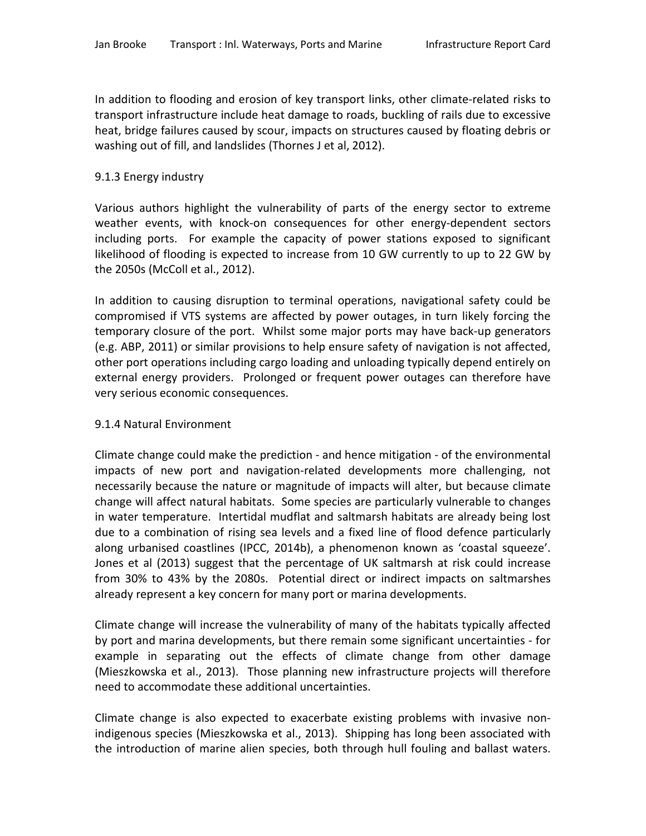In addition to flooding and erosion of key transport links, other climate-related risks to transport infrastructure include heat damage to roads, buckling of rails due to excessive heat, bridge failures caused by scour, impacts on structures caused by floating debris or washing out of fill, and landslides (Thornes J et al, 2012).

# 9.1.3 Energy industry

Various authors highlight the vulnerability of parts of the energy sector to extreme weather events, with knock-on consequences for other energy-dependent sectors including ports. For example the capacity of power stations exposed to significant likelihood of flooding is expected to increase from 10 GW currently to up to 22 GW by the 2050s (McColl et al., 2012).

In addition to causing disruption to terminal operations, navigational safety could be compromised if VTS systems are affected by power outages, in turn likely forcing the temporary closure of the port. Whilst some major ports may have back-up generators (e.g. ABP, 2011) or similar provisions to help ensure safety of navigation is not affected, other port operations including cargo loading and unloading typically depend entirely on external energy providers. Prolonged or frequent power outages can therefore have very serious economic consequences.

### 9.1.4 Natural Environment

Climate change could make the prediction - and hence mitigation - of the environmental impacts of new port and navigation-related developments more challenging, not necessarily because the nature or magnitude of impacts will alter, but because climate change will affect natural habitats. Some species are particularly vulnerable to changes in water temperature. Intertidal mudflat and saltmarsh habitats are already being lost due to a combination of rising sea levels and a fixed line of flood defence particularly along urbanised coastlines (IPCC, 2014b), a phenomenon known as 'coastal squeeze'. Jones et al (2013) suggest that the percentage of UK saltmarsh at risk could increase from 30% to 43% by the 2080s. Potential direct or indirect impacts on saltmarshes already represent a key concern for many port or marina developments.

Climate change will increase the vulnerability of many of the habitats typically affected by port and marina developments, but there remain some significant uncertainties - for example in separating out the effects of climate change from other damage (Mieszkowska et al., 2013). Those planning new infrastructure projects will therefore need to accommodate these additional uncertainties.

Climate change is also expected to exacerbate existing problems with invasive nonindigenous species (Mieszkowska et al., 2013). Shipping has long been associated with the introduction of marine alien species, both through hull fouling and ballast waters.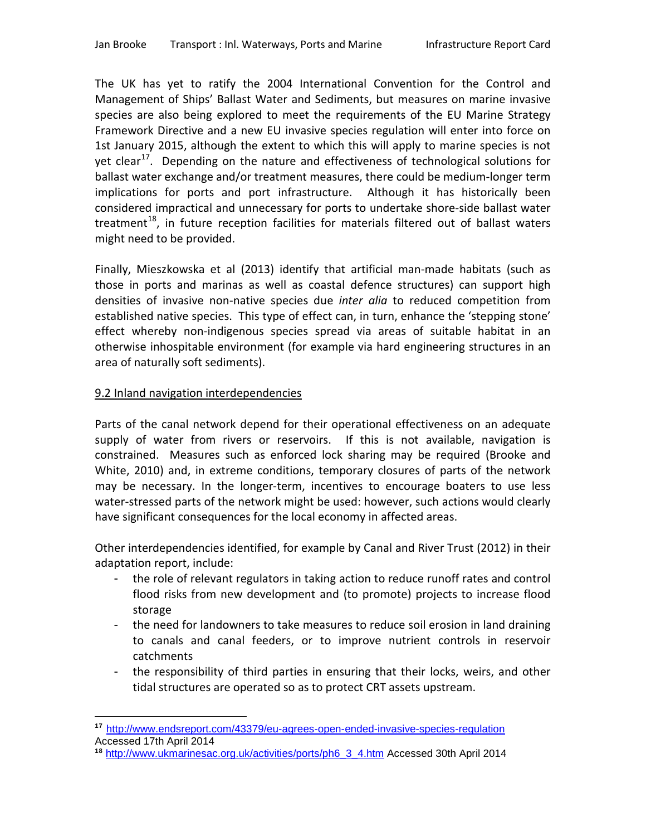The UK has yet to ratify the 2004 International Convention for the Control and Management of Ships' Ballast Water and Sediments, but measures on marine invasive species are also being explored to meet the requirements of the EU Marine Strategy Framework Directive and a new EU invasive species regulation will enter into force on 1st January 2015, although the extent to which this will apply to marine species is not yet clear<sup>[17](#page-24-0)</sup>. Depending on the nature and effectiveness of technological solutions for ballast water exchange and/or treatment measures, there could be medium-longer term implications for ports and port infrastructure. Although it has historically been considered impractical and unnecessary for ports to undertake shore-side ballast water treatment<sup>[18](#page-27-0)</sup>, in future reception facilities for materials filtered out of ballast waters might need to be provided.

Finally, Mieszkowska et al (2013) identify that artificial man-made habitats (such as those in ports and marinas as well as coastal defence structures) can support high densities of invasive non-native species due *inter alia* to reduced competition from established native species. This type of effect can, in turn, enhance the 'stepping stone' effect whereby non-indigenous species spread via areas of suitable habitat in an otherwise inhospitable environment (for example via hard engineering structures in an area of naturally soft sediments).

### 9.2 Inland navigation interdependencies

Parts of the canal network depend for their operational effectiveness on an adequate supply of water from rivers or reservoirs. If this is not available, navigation is constrained. Measures such as enforced lock sharing may be required (Brooke and White, 2010) and, in extreme conditions, temporary closures of parts of the network may be necessary. In the longer-term, incentives to encourage boaters to use less water-stressed parts of the network might be used: however, such actions would clearly have significant consequences for the local economy in affected areas.

Other interdependencies identified, for example by Canal and River Trust (2012) in their adaptation report, include:

- the role of relevant regulators in taking action to reduce runoff rates and control flood risks from new development and (to promote) projects to increase flood storage
- the need for landowners to take measures to reduce soil erosion in land draining to canals and canal feeders, or to improve nutrient controls in reservoir catchments
- the responsibility of third parties in ensuring that their locks, weirs, and other tidal structures are operated so as to protect CRT assets upstream.

 $\overline{a}$ **<sup>17</sup>** <http://www.endsreport.com/43379/eu-agrees-open-ended-invasive-species-regulation> Accessed 17th April 2014

<span id="page-27-0"></span>**<sup>18</sup>** [http://www.ukmarinesac.org.uk/activities/ports/ph6\\_3\\_4.htm](http://www.ukmarinesac.org.uk/activities/ports/ph6_3_4.htm) Accessed 30th April 2014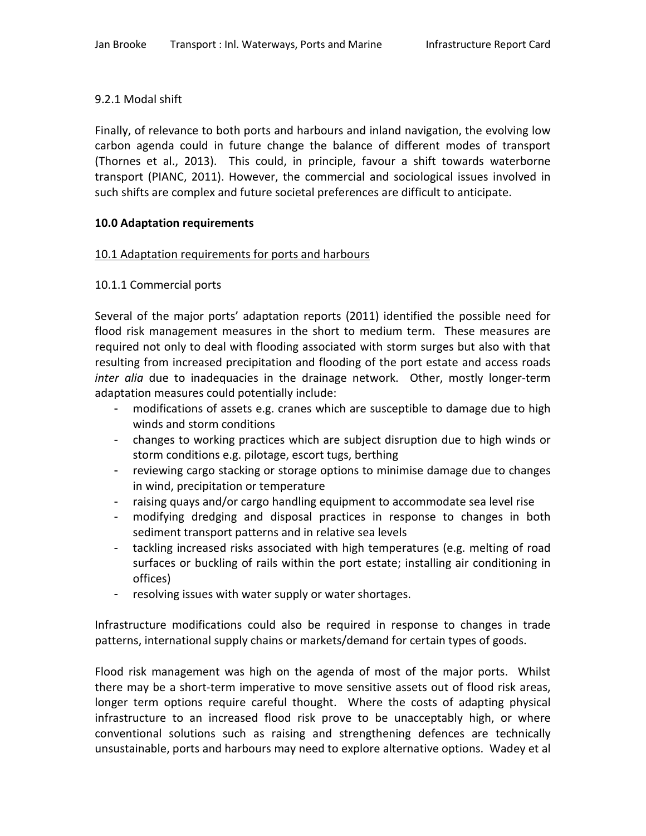# 9.2.1 Modal shift

Finally, of relevance to both ports and harbours and inland navigation, the evolving low carbon agenda could in future change the balance of different modes of transport (Thornes et al., 2013). This could, in principle, favour a shift towards waterborne transport (PIANC, 2011). However, the commercial and sociological issues involved in such shifts are complex and future societal preferences are difficult to anticipate.

# **10.0 Adaptation requirements**

# 10.1 Adaptation requirements for ports and harbours

# 10.1.1 Commercial ports

Several of the major ports' adaptation reports (2011) identified the possible need for flood risk management measures in the short to medium term. These measures are required not only to deal with flooding associated with storm surges but also with that resulting from increased precipitation and flooding of the port estate and access roads *inter alia* due to inadequacies in the drainage network. Other, mostly longer-term adaptation measures could potentially include:

- modifications of assets e.g. cranes which are susceptible to damage due to high winds and storm conditions
- changes to working practices which are subject disruption due to high winds or storm conditions e.g. pilotage, escort tugs, berthing
- reviewing cargo stacking or storage options to minimise damage due to changes in wind, precipitation or temperature
- raising quays and/or cargo handling equipment to accommodate sea level rise
- modifying dredging and disposal practices in response to changes in both sediment transport patterns and in relative sea levels
- tackling increased risks associated with high temperatures (e.g. melting of road surfaces or buckling of rails within the port estate; installing air conditioning in offices)
- resolving issues with water supply or water shortages.

Infrastructure modifications could also be required in response to changes in trade patterns, international supply chains or markets/demand for certain types of goods.

Flood risk management was high on the agenda of most of the major ports. Whilst there may be a short-term imperative to move sensitive assets out of flood risk areas, longer term options require careful thought. Where the costs of adapting physical infrastructure to an increased flood risk prove to be unacceptably high, or where conventional solutions such as raising and strengthening defences are technically unsustainable, ports and harbours may need to explore alternative options. Wadey et al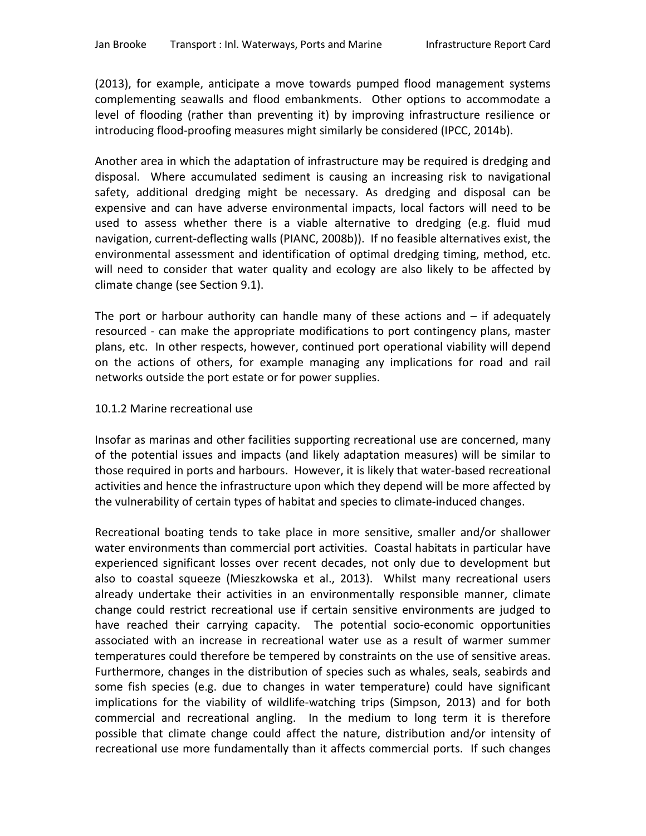(2013), for example, anticipate a move towards pumped flood management systems complementing seawalls and flood embankments. Other options to accommodate a level of flooding (rather than preventing it) by improving infrastructure resilience or introducing flood-proofing measures might similarly be considered (IPCC, 2014b).

Another area in which the adaptation of infrastructure may be required is dredging and disposal. Where accumulated sediment is causing an increasing risk to navigational safety, additional dredging might be necessary. As dredging and disposal can be expensive and can have adverse environmental impacts, local factors will need to be used to assess whether there is a viable alternative to dredging (e.g. fluid mud navigation, current-deflecting walls (PIANC, 2008b)). If no feasible alternatives exist, the environmental assessment and identification of optimal dredging timing, method, etc. will need to consider that water quality and ecology are also likely to be affected by climate change (see Section 9.1).

The port or harbour authority can handle many of these actions and  $-$  if adequately resourced - can make the appropriate modifications to port contingency plans, master plans, etc. In other respects, however, continued port operational viability will depend on the actions of others, for example managing any implications for road and rail networks outside the port estate or for power supplies.

### 10.1.2 Marine recreational use

Insofar as marinas and other facilities supporting recreational use are concerned, many of the potential issues and impacts (and likely adaptation measures) will be similar to those required in ports and harbours. However, it is likely that water-based recreational activities and hence the infrastructure upon which they depend will be more affected by the vulnerability of certain types of habitat and species to climate-induced changes.

Recreational boating tends to take place in more sensitive, smaller and/or shallower water environments than commercial port activities. Coastal habitats in particular have experienced significant losses over recent decades, not only due to development but also to coastal squeeze (Mieszkowska et al., 2013). Whilst many recreational users already undertake their activities in an environmentally responsible manner, climate change could restrict recreational use if certain sensitive environments are judged to have reached their carrying capacity. The potential socio-economic opportunities associated with an increase in recreational water use as a result of warmer summer temperatures could therefore be tempered by constraints on the use of sensitive areas. Furthermore, changes in the distribution of species such as whales, seals, seabirds and some fish species (e.g. due to changes in water temperature) could have significant implications for the viability of wildlife-watching trips (Simpson, 2013) and for both commercial and recreational angling. In the medium to long term it is therefore possible that climate change could affect the nature, distribution and/or intensity of recreational use more fundamentally than it affects commercial ports. If such changes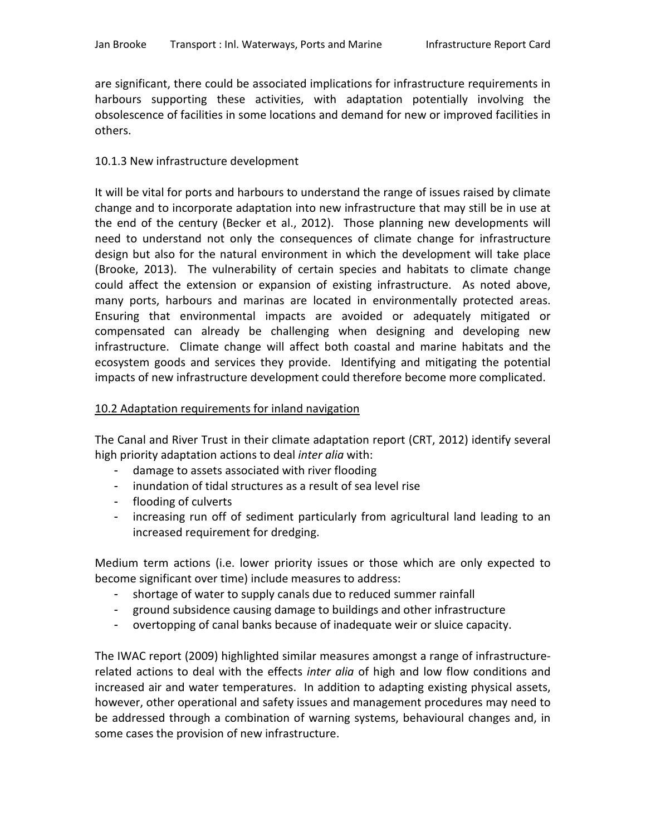are significant, there could be associated implications for infrastructure requirements in harbours supporting these activities, with adaptation potentially involving the obsolescence of facilities in some locations and demand for new or improved facilities in others.

### 10.1.3 New infrastructure development

It will be vital for ports and harbours to understand the range of issues raised by climate change and to incorporate adaptation into new infrastructure that may still be in use at the end of the century (Becker et al., 2012). Those planning new developments will need to understand not only the consequences of climate change for infrastructure design but also for the natural environment in which the development will take place (Brooke, 2013). The vulnerability of certain species and habitats to climate change could affect the extension or expansion of existing infrastructure. As noted above, many ports, harbours and marinas are located in environmentally protected areas. Ensuring that environmental impacts are avoided or adequately mitigated or compensated can already be challenging when designing and developing new infrastructure. Climate change will affect both coastal and marine habitats and the ecosystem goods and services they provide. Identifying and mitigating the potential impacts of new infrastructure development could therefore become more complicated.

### 10.2 Adaptation requirements for inland navigation

The Canal and River Trust in their climate adaptation report (CRT, 2012) identify several high priority adaptation actions to deal *inter alia* with:

- damage to assets associated with river flooding
- inundation of tidal structures as a result of sea level rise
- flooding of culverts
- increasing run off of sediment particularly from agricultural land leading to an increased requirement for dredging.

Medium term actions (i.e. lower priority issues or those which are only expected to become significant over time) include measures to address:

- shortage of water to supply canals due to reduced summer rainfall
- ground subsidence causing damage to buildings and other infrastructure
- overtopping of canal banks because of inadequate weir or sluice capacity.

The IWAC report (2009) highlighted similar measures amongst a range of infrastructurerelated actions to deal with the effects *inter alia* of high and low flow conditions and increased air and water temperatures. In addition to adapting existing physical assets, however, other operational and safety issues and management procedures may need to be addressed through a combination of warning systems, behavioural changes and, in some cases the provision of new infrastructure.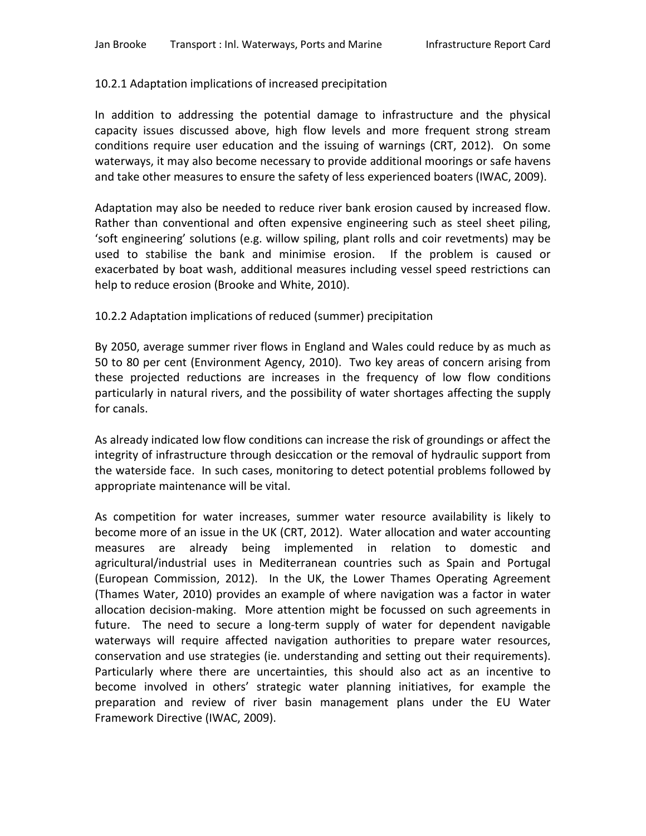# 10.2.1 Adaptation implications of increased precipitation

In addition to addressing the potential damage to infrastructure and the physical capacity issues discussed above, high flow levels and more frequent strong stream conditions require user education and the issuing of warnings (CRT, 2012). On some waterways, it may also become necessary to provide additional moorings or safe havens and take other measures to ensure the safety of less experienced boaters (IWAC, 2009).

Adaptation may also be needed to reduce river bank erosion caused by increased flow. Rather than conventional and often expensive engineering such as steel sheet piling, 'soft engineering' solutions (e.g. willow spiling, plant rolls and coir revetments) may be used to stabilise the bank and minimise erosion. If the problem is caused or exacerbated by boat wash, additional measures including vessel speed restrictions can help to reduce erosion (Brooke and White, 2010).

# 10.2.2 Adaptation implications of reduced (summer) precipitation

By 2050, average summer river flows in England and Wales could reduce by as much as 50 to 80 per cent (Environment Agency, 2010). Two key areas of concern arising from these projected reductions are increases in the frequency of low flow conditions particularly in natural rivers, and the possibility of water shortages affecting the supply for canals.

As already indicated low flow conditions can increase the risk of groundings or affect the integrity of infrastructure through desiccation or the removal of hydraulic support from the waterside face. In such cases, monitoring to detect potential problems followed by appropriate maintenance will be vital.

As competition for water increases, summer water resource availability is likely to become more of an issue in the UK (CRT, 2012). Water allocation and water accounting measures are already being implemented in relation to domestic and agricultural/industrial uses in Mediterranean countries such as Spain and Portugal (European Commission, 2012). In the UK, the Lower Thames Operating Agreement (Thames Water, 2010) provides an example of where navigation was a factor in water allocation decision-making. More attention might be focussed on such agreements in future. The need to secure a long-term supply of water for dependent navigable waterways will require affected navigation authorities to prepare water resources, conservation and use strategies (ie. understanding and setting out their requirements). Particularly where there are uncertainties, this should also act as an incentive to become involved in others' strategic water planning initiatives, for example the preparation and review of river basin management plans under the EU Water Framework Directive (IWAC, 2009).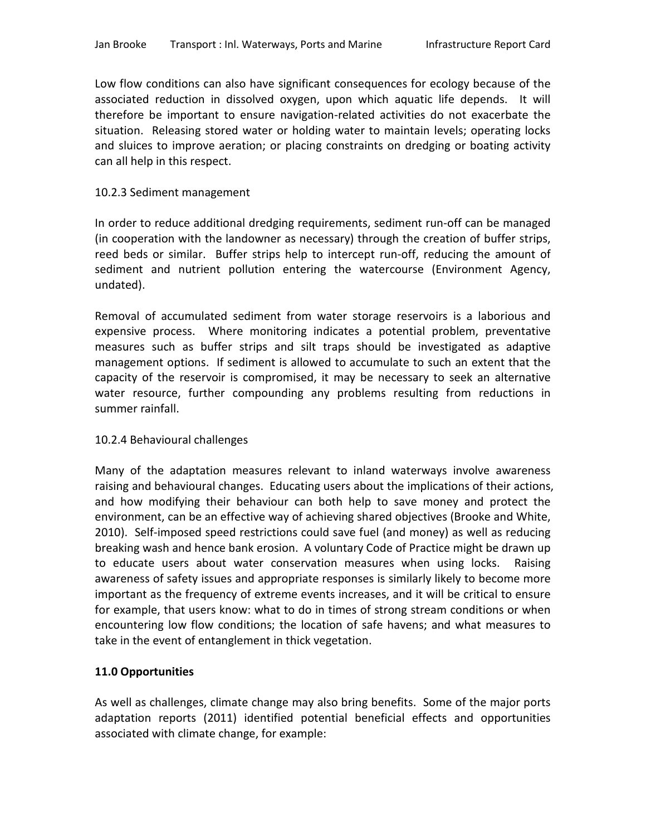Low flow conditions can also have significant consequences for ecology because of the associated reduction in dissolved oxygen, upon which aquatic life depends. It will therefore be important to ensure navigation-related activities do not exacerbate the situation. Releasing stored water or holding water to maintain levels; operating locks and sluices to improve aeration; or placing constraints on dredging or boating activity can all help in this respect.

### 10.2.3 Sediment management

In order to reduce additional dredging requirements, sediment run-off can be managed (in cooperation with the landowner as necessary) through the creation of buffer strips, reed beds or similar. Buffer strips help to intercept run-off, reducing the amount of sediment and nutrient pollution entering the watercourse (Environment Agency, undated).

Removal of accumulated sediment from water storage reservoirs is a laborious and expensive process. Where monitoring indicates a potential problem, preventative measures such as buffer strips and silt traps should be investigated as adaptive management options. If sediment is allowed to accumulate to such an extent that the capacity of the reservoir is compromised, it may be necessary to seek an alternative water resource, further compounding any problems resulting from reductions in summer rainfall.

#### 10.2.4 Behavioural challenges

Many of the adaptation measures relevant to inland waterways involve awareness raising and behavioural changes. Educating users about the implications of their actions, and how modifying their behaviour can both help to save money and protect the environment, can be an effective way of achieving shared objectives (Brooke and White, 2010). Self-imposed speed restrictions could save fuel (and money) as well as reducing breaking wash and hence bank erosion. A voluntary Code of Practice might be drawn up to educate users about water conservation measures when using locks. Raising awareness of safety issues and appropriate responses is similarly likely to become more important as the frequency of extreme events increases, and it will be critical to ensure for example, that users know: what to do in times of strong stream conditions or when encountering low flow conditions; the location of safe havens; and what measures to take in the event of entanglement in thick vegetation.

# **11.0 Opportunities**

As well as challenges, climate change may also bring benefits. Some of the major ports adaptation reports (2011) identified potential beneficial effects and opportunities associated with climate change, for example: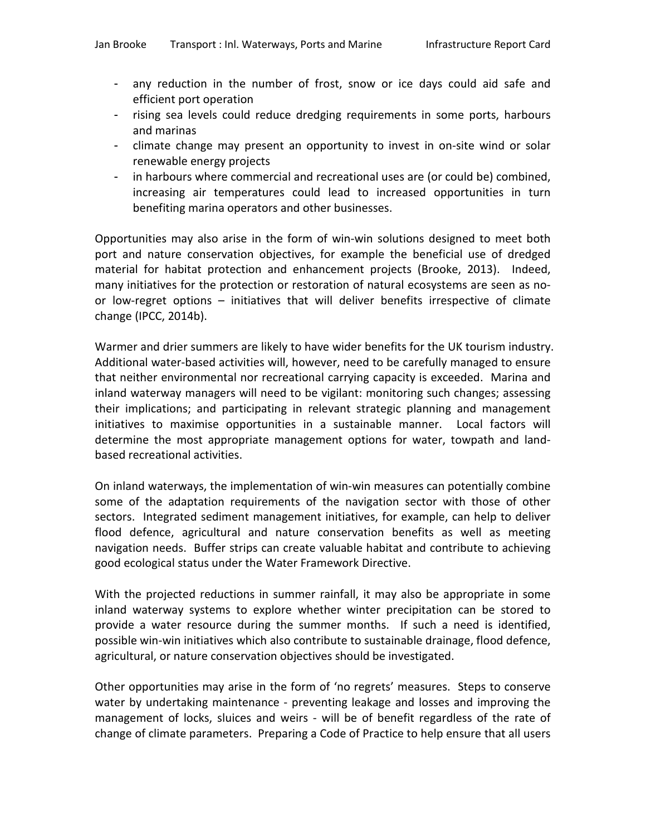- any reduction in the number of frost, snow or ice days could aid safe and efficient port operation
- rising sea levels could reduce dredging requirements in some ports, harbours and marinas
- climate change may present an opportunity to invest in on-site wind or solar renewable energy projects
- in harbours where commercial and recreational uses are (or could be) combined, increasing air temperatures could lead to increased opportunities in turn benefiting marina operators and other businesses.

Opportunities may also arise in the form of win-win solutions designed to meet both port and nature conservation objectives, for example the beneficial use of dredged material for habitat protection and enhancement projects (Brooke, 2013). Indeed, many initiatives for the protection or restoration of natural ecosystems are seen as noor low-regret options – initiatives that will deliver benefits irrespective of climate change (IPCC, 2014b).

Warmer and drier summers are likely to have wider benefits for the UK tourism industry. Additional water-based activities will, however, need to be carefully managed to ensure that neither environmental nor recreational carrying capacity is exceeded. Marina and inland waterway managers will need to be vigilant: monitoring such changes; assessing their implications; and participating in relevant strategic planning and management initiatives to maximise opportunities in a sustainable manner. Local factors will determine the most appropriate management options for water, towpath and landbased recreational activities.

On inland waterways, the implementation of win-win measures can potentially combine some of the adaptation requirements of the navigation sector with those of other sectors. Integrated sediment management initiatives, for example, can help to deliver flood defence, agricultural and nature conservation benefits as well as meeting navigation needs. Buffer strips can create valuable habitat and contribute to achieving good ecological status under the Water Framework Directive.

With the projected reductions in summer rainfall, it may also be appropriate in some inland waterway systems to explore whether winter precipitation can be stored to provide a water resource during the summer months. If such a need is identified, possible win-win initiatives which also contribute to sustainable drainage, flood defence, agricultural, or nature conservation objectives should be investigated.

Other opportunities may arise in the form of 'no regrets' measures. Steps to conserve water by undertaking maintenance - preventing leakage and losses and improving the management of locks, sluices and weirs - will be of benefit regardless of the rate of change of climate parameters. Preparing a Code of Practice to help ensure that all users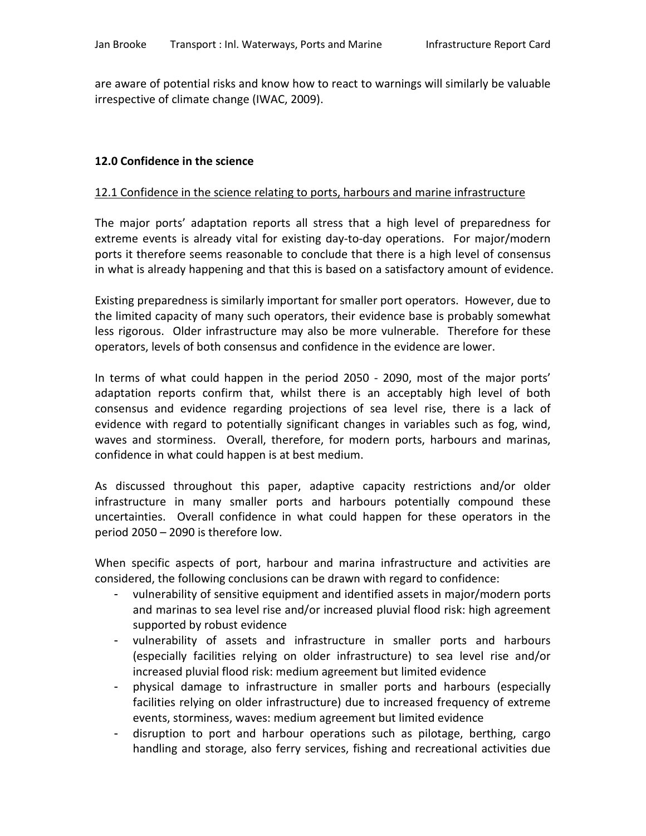are aware of potential risks and know how to react to warnings will similarly be valuable irrespective of climate change (IWAC, 2009).

#### **12.0 Confidence in the science**

#### 12.1 Confidence in the science relating to ports, harbours and marine infrastructure

The major ports' adaptation reports all stress that a high level of preparedness for extreme events is already vital for existing day-to-day operations. For major/modern ports it therefore seems reasonable to conclude that there is a high level of consensus in what is already happening and that this is based on a satisfactory amount of evidence.

Existing preparedness is similarly important for smaller port operators. However, due to the limited capacity of many such operators, their evidence base is probably somewhat less rigorous. Older infrastructure may also be more vulnerable. Therefore for these operators, levels of both consensus and confidence in the evidence are lower.

In terms of what could happen in the period 2050 - 2090, most of the major ports' adaptation reports confirm that, whilst there is an acceptably high level of both consensus and evidence regarding projections of sea level rise, there is a lack of evidence with regard to potentially significant changes in variables such as fog, wind, waves and storminess. Overall, therefore, for modern ports, harbours and marinas, confidence in what could happen is at best medium.

As discussed throughout this paper, adaptive capacity restrictions and/or older infrastructure in many smaller ports and harbours potentially compound these uncertainties. Overall confidence in what could happen for these operators in the period 2050 – 2090 is therefore low.

When specific aspects of port, harbour and marina infrastructure and activities are considered, the following conclusions can be drawn with regard to confidence:

- vulnerability of sensitive equipment and identified assets in major/modern ports and marinas to sea level rise and/or increased pluvial flood risk: high agreement supported by robust evidence
- vulnerability of assets and infrastructure in smaller ports and harbours (especially facilities relying on older infrastructure) to sea level rise and/or increased pluvial flood risk: medium agreement but limited evidence
- physical damage to infrastructure in smaller ports and harbours (especially facilities relying on older infrastructure) due to increased frequency of extreme events, storminess, waves: medium agreement but limited evidence
- disruption to port and harbour operations such as pilotage, berthing, cargo handling and storage, also ferry services, fishing and recreational activities due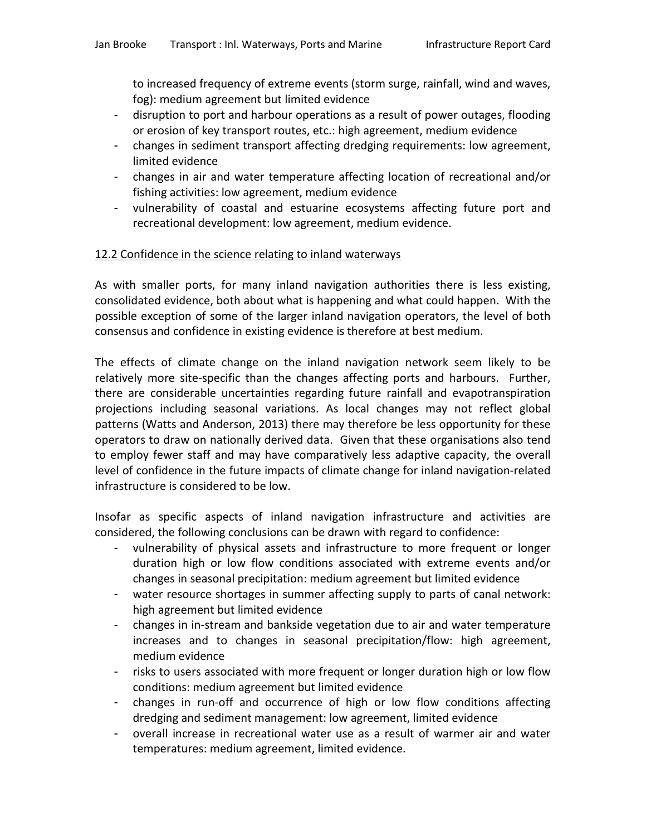to increased frequency of extreme events (storm surge, rainfall, wind and waves, fog): medium agreement but limited evidence

- disruption to port and harbour operations as a result of power outages, flooding or erosion of key transport routes, etc.: high agreement, medium evidence
- changes in sediment transport affecting dredging requirements: low agreement, limited evidence
- changes in air and water temperature affecting location of recreational and/or fishing activities: low agreement, medium evidence
- vulnerability of coastal and estuarine ecosystems affecting future port and recreational development: low agreement, medium evidence.

### 12.2 Confidence in the science relating to inland waterways

As with smaller ports, for many inland navigation authorities there is less existing, consolidated evidence, both about what is happening and what could happen. With the possible exception of some of the larger inland navigation operators, the level of both consensus and confidence in existing evidence is therefore at best medium.

The effects of climate change on the inland navigation network seem likely to be relatively more site-specific than the changes affecting ports and harbours. Further, there are considerable uncertainties regarding future rainfall and evapotranspiration projections including seasonal variations. As local changes may not reflect global patterns (Watts and Anderson, 2013) there may therefore be less opportunity for these operators to draw on nationally derived data. Given that these organisations also tend to employ fewer staff and may have comparatively less adaptive capacity, the overall level of confidence in the future impacts of climate change for inland navigation-related infrastructure is considered to be low.

Insofar as specific aspects of inland navigation infrastructure and activities are considered, the following conclusions can be drawn with regard to confidence:

- vulnerability of physical assets and infrastructure to more frequent or longer duration high or low flow conditions associated with extreme events and/or changes in seasonal precipitation: medium agreement but limited evidence
- water resource shortages in summer affecting supply to parts of canal network: high agreement but limited evidence
- changes in in-stream and bankside vegetation due to air and water temperature increases and to changes in seasonal precipitation/flow: high agreement, medium evidence
- risks to users associated with more frequent or longer duration high or low flow conditions: medium agreement but limited evidence
- changes in run-off and occurrence of high or low flow conditions affecting dredging and sediment management: low agreement, limited evidence
- overall increase in recreational water use as a result of warmer air and water temperatures: medium agreement, limited evidence.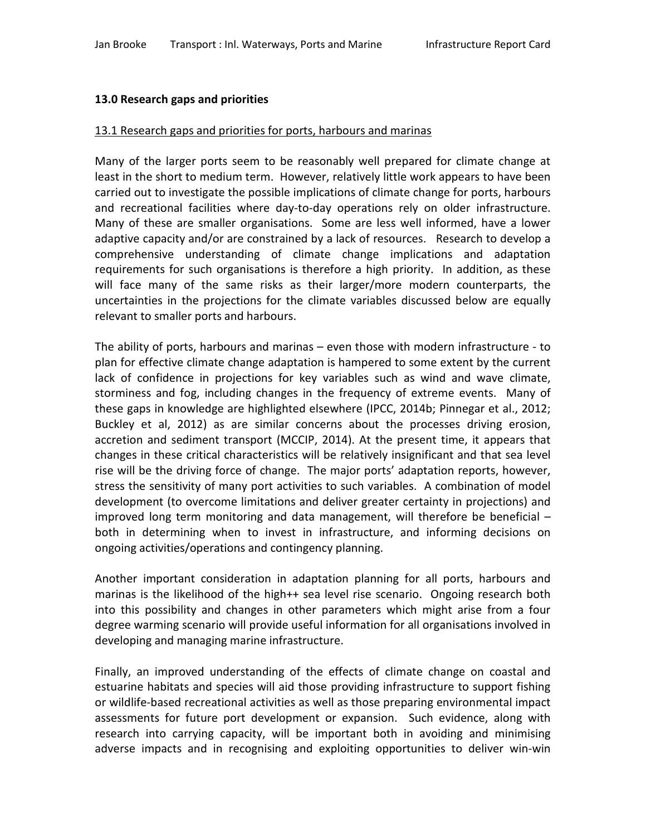### **13.0 Research gaps and priorities**

#### 13.1 Research gaps and priorities for ports, harbours and marinas

Many of the larger ports seem to be reasonably well prepared for climate change at least in the short to medium term. However, relatively little work appears to have been carried out to investigate the possible implications of climate change for ports, harbours and recreational facilities where day-to-day operations rely on older infrastructure. Many of these are smaller organisations. Some are less well informed, have a lower adaptive capacity and/or are constrained by a lack of resources. Research to develop a comprehensive understanding of climate change implications and adaptation requirements for such organisations is therefore a high priority. In addition, as these will face many of the same risks as their larger/more modern counterparts, the uncertainties in the projections for the climate variables discussed below are equally relevant to smaller ports and harbours.

The ability of ports, harbours and marinas – even those with modern infrastructure - to plan for effective climate change adaptation is hampered to some extent by the current lack of confidence in projections for key variables such as wind and wave climate, storminess and fog, including changes in the frequency of extreme events. Many of these gaps in knowledge are highlighted elsewhere (IPCC, 2014b; Pinnegar et al., 2012; Buckley et al, 2012) as are similar concerns about the processes driving erosion, accretion and sediment transport (MCCIP, 2014). At the present time, it appears that changes in these critical characteristics will be relatively insignificant and that sea level rise will be the driving force of change. The major ports' adaptation reports, however, stress the sensitivity of many port activities to such variables. A combination of model development (to overcome limitations and deliver greater certainty in projections) and improved long term monitoring and data management, will therefore be beneficial – both in determining when to invest in infrastructure, and informing decisions on ongoing activities/operations and contingency planning.

Another important consideration in adaptation planning for all ports, harbours and marinas is the likelihood of the high++ sea level rise scenario. Ongoing research both into this possibility and changes in other parameters which might arise from a four degree warming scenario will provide useful information for all organisations involved in developing and managing marine infrastructure.

Finally, an improved understanding of the effects of climate change on coastal and estuarine habitats and species will aid those providing infrastructure to support fishing or wildlife-based recreational activities as well as those preparing environmental impact assessments for future port development or expansion. Such evidence, along with research into carrying capacity, will be important both in avoiding and minimising adverse impacts and in recognising and exploiting opportunities to deliver win-win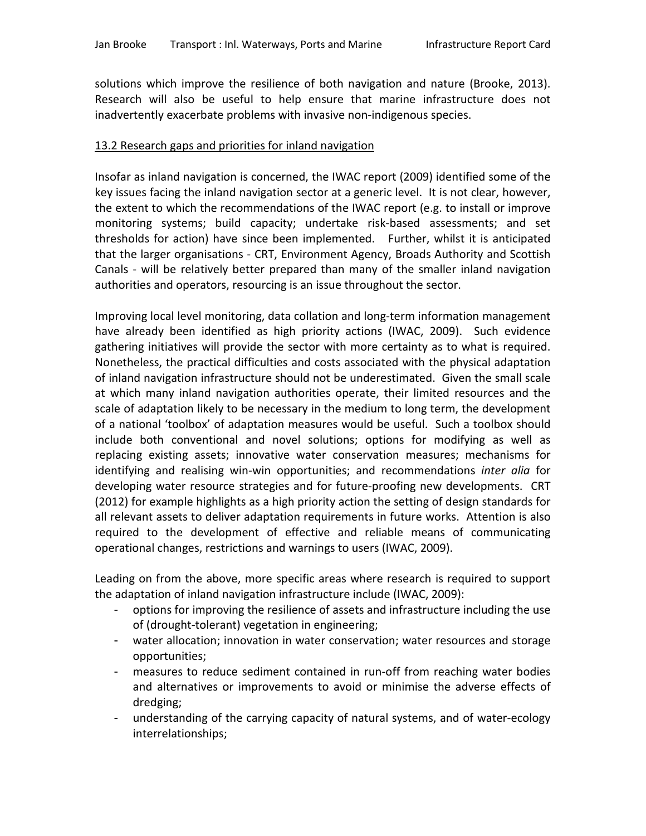solutions which improve the resilience of both navigation and nature (Brooke, 2013). Research will also be useful to help ensure that marine infrastructure does not inadvertently exacerbate problems with invasive non-indigenous species.

#### 13.2 Research gaps and priorities for inland navigation

Insofar as inland navigation is concerned, the IWAC report (2009) identified some of the key issues facing the inland navigation sector at a generic level. It is not clear, however, the extent to which the recommendations of the IWAC report (e.g. to install or improve monitoring systems; build capacity; undertake risk-based assessments; and set thresholds for action) have since been implemented. Further, whilst it is anticipated that the larger organisations - CRT, Environment Agency, Broads Authority and Scottish Canals - will be relatively better prepared than many of the smaller inland navigation authorities and operators, resourcing is an issue throughout the sector.

Improving local level monitoring, data collation and long-term information management have already been identified as high priority actions (IWAC, 2009). Such evidence gathering initiatives will provide the sector with more certainty as to what is required. Nonetheless, the practical difficulties and costs associated with the physical adaptation of inland navigation infrastructure should not be underestimated. Given the small scale at which many inland navigation authorities operate, their limited resources and the scale of adaptation likely to be necessary in the medium to long term, the development of a national 'toolbox' of adaptation measures would be useful. Such a toolbox should include both conventional and novel solutions; options for modifying as well as replacing existing assets; innovative water conservation measures; mechanisms for identifying and realising win-win opportunities; and recommendations *inter alia* for developing water resource strategies and for future-proofing new developments. CRT (2012) for example highlights as a high priority action the setting of design standards for all relevant assets to deliver adaptation requirements in future works. Attention is also required to the development of effective and reliable means of communicating operational changes, restrictions and warnings to users (IWAC, 2009).

Leading on from the above, more specific areas where research is required to support the adaptation of inland navigation infrastructure include (IWAC, 2009):

- options for improving the resilience of assets and infrastructure including the use of (drought-tolerant) vegetation in engineering;
- water allocation; innovation in water conservation; water resources and storage opportunities;
- measures to reduce sediment contained in run-off from reaching water bodies and alternatives or improvements to avoid or minimise the adverse effects of dredging;
- understanding of the carrying capacity of natural systems, and of water-ecology interrelationships;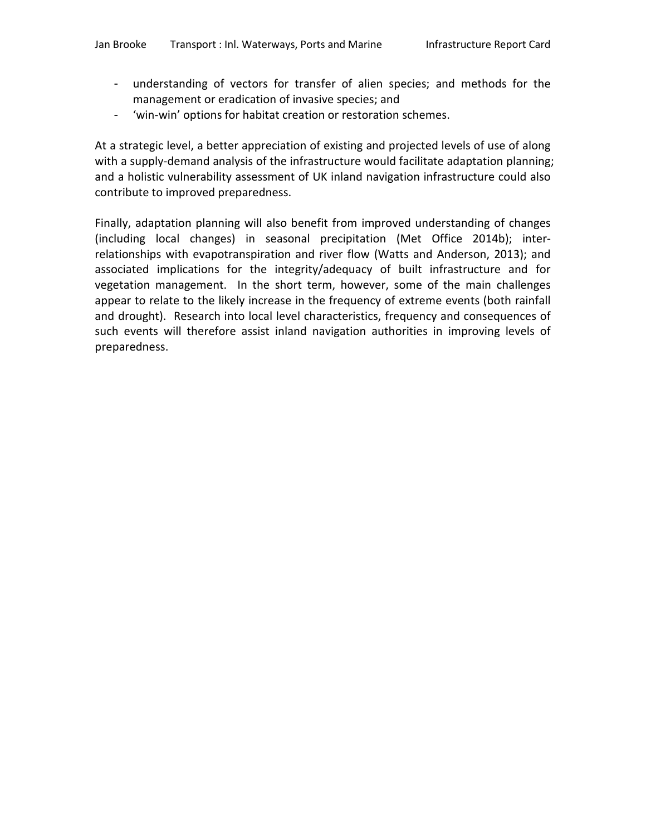- understanding of vectors for transfer of alien species; and methods for the management or eradication of invasive species; and
- 'win-win' options for habitat creation or restoration schemes.

At a strategic level, a better appreciation of existing and projected levels of use of along with a supply-demand analysis of the infrastructure would facilitate adaptation planning; and a holistic vulnerability assessment of UK inland navigation infrastructure could also contribute to improved preparedness.

Finally, adaptation planning will also benefit from improved understanding of changes (including local changes) in seasonal precipitation (Met Office 2014b); interrelationships with evapotranspiration and river flow (Watts and Anderson, 2013); and associated implications for the integrity/adequacy of built infrastructure and for vegetation management. In the short term, however, some of the main challenges appear to relate to the likely increase in the frequency of extreme events (both rainfall and drought). Research into local level characteristics, frequency and consequences of such events will therefore assist inland navigation authorities in improving levels of preparedness.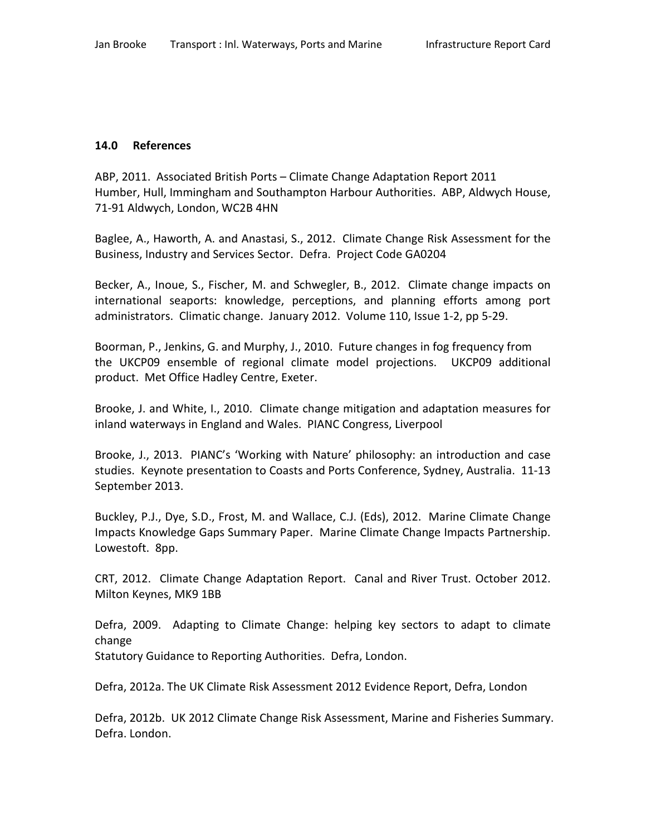### **14.0 References**

ABP, 2011. Associated British Ports – Climate Change Adaptation Report 2011 Humber, Hull, Immingham and Southampton Harbour Authorities. ABP, Aldwych House, 71-91 Aldwych, London, WC2B 4HN

Baglee, A., Haworth, A. and Anastasi, S., 2012. Climate Change Risk Assessment for the Business, Industry and Services Sector. Defra. Project Code GA0204

Becker, A., Inoue, S., Fischer, M. and Schwegler, B., 2012. Climate change impacts on international seaports: knowledge, perceptions, and planning efforts among port administrators. Climatic change. January 2012. Volume 110, Issue 1-2, pp 5-29.

Boorman, P., Jenkins, G. and Murphy, J., 2010. Future changes in fog frequency from the UKCP09 ensemble of regional climate model projections. UKCP09 additional product. Met Office Hadley Centre, Exeter.

Brooke, J. and White, I., 2010. Climate change mitigation and adaptation measures for inland waterways in England and Wales. PIANC Congress, Liverpool

Brooke, J., 2013. PIANC's 'Working with Nature' philosophy: an introduction and case studies. Keynote presentation to Coasts and Ports Conference, Sydney, Australia. 11-13 September 2013.

Buckley, P.J., Dye, S.D., Frost, M. and Wallace, C.J. (Eds), 2012. Marine Climate Change Impacts Knowledge Gaps Summary Paper. Marine Climate Change Impacts Partnership. Lowestoft. 8pp.

CRT, 2012. Climate Change Adaptation Report. Canal and River Trust. October 2012. Milton Keynes, MK9 1BB

Defra, 2009. Adapting to Climate Change: helping key sectors to adapt to climate change

Statutory Guidance to Reporting Authorities. Defra, London.

Defra, 2012a. The UK Climate Risk Assessment 2012 Evidence Report, Defra, London

Defra, 2012b. UK 2012 Climate Change Risk Assessment, Marine and Fisheries Summary. Defra. London.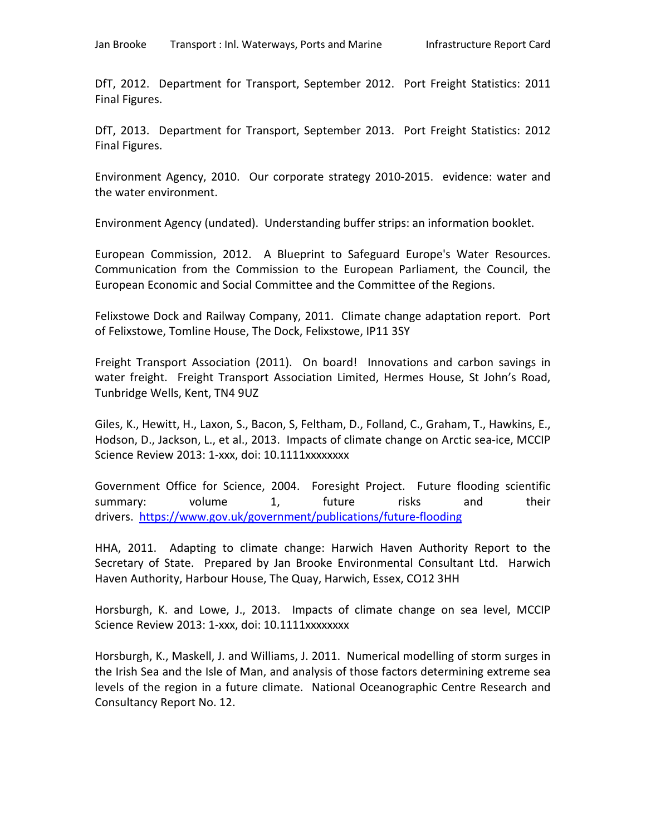DfT, 2012. Department for Transport, September 2012. Port Freight Statistics: 2011 Final Figures.

DfT, 2013. Department for Transport, September 2013. Port Freight Statistics: 2012 Final Figures.

Environment Agency, 2010. Our corporate strategy 2010-2015. evidence: water and the water environment.

Environment Agency (undated). Understanding buffer strips: an information booklet.

European Commission, 2012. A Blueprint to Safeguard Europe's Water Resources. Communication from the Commission to the European Parliament, the Council, the European Economic and Social Committee and the Committee of the Regions.

Felixstowe Dock and Railway Company, 2011. Climate change adaptation report. Port of Felixstowe, Tomline House, The Dock, Felixstowe, IP11 3SY

Freight Transport Association (2011). On board! Innovations and carbon savings in water freight. Freight Transport Association Limited, Hermes House, St John's Road, Tunbridge Wells, Kent, TN4 9UZ

Giles, K., Hewitt, H., Laxon, S., Bacon, S, Feltham, D., Folland, C., Graham, T., Hawkins, E., Hodson, D., Jackson, L., et al., 2013. Impacts of climate change on Arctic sea-ice, MCCIP Science Review 2013: 1-xxx, doi: 10.1111xxxxxxxx

Government Office for Science, 2004. Foresight Project. Future flooding scientific summary: volume 1, future risks and their drivers. <https://www.gov.uk/government/publications/future-flooding>

HHA, 2011. Adapting to climate change: Harwich Haven Authority Report to the Secretary of State. Prepared by Jan Brooke Environmental Consultant Ltd. Harwich Haven Authority, Harbour House, The Quay, Harwich, Essex, CO12 3HH

Horsburgh, K. and Lowe, J., 2013. Impacts of climate change on sea level, MCCIP Science Review 2013: 1-xxx, doi: 10.1111xxxxxxxx

Horsburgh, K., Maskell, J. and Williams, J. 2011. Numerical modelling of storm surges in the Irish Sea and the Isle of Man, and analysis of those factors determining extreme sea levels of the region in a future climate. National Oceanographic Centre Research and Consultancy Report No. 12.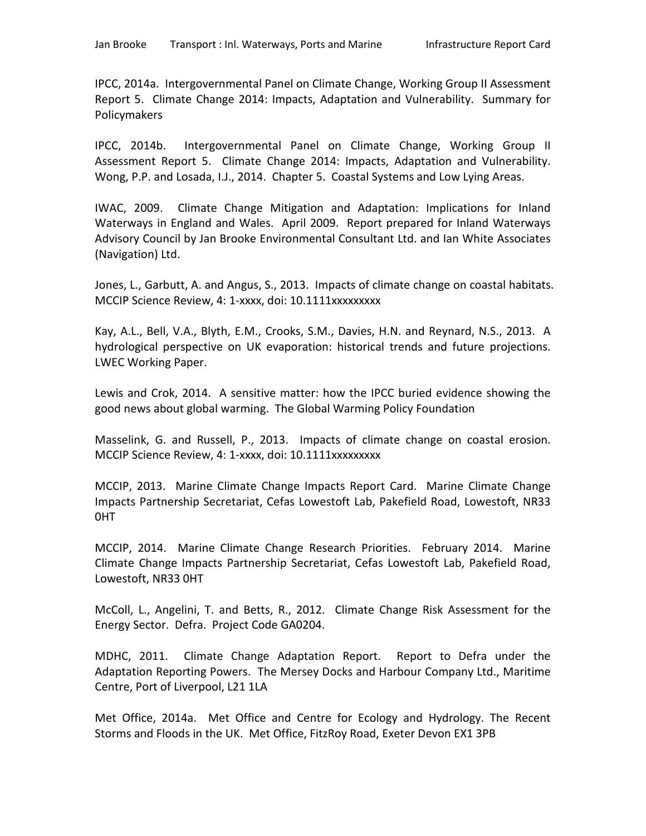IPCC, 2014a. Intergovernmental Panel on Climate Change, Working Group II Assessment Report 5. Climate Change 2014: Impacts, Adaptation and Vulnerability. Summary for Policymakers

IPCC, 2014b. Intergovernmental Panel on Climate Change, Working Group II Assessment Report 5. Climate Change 2014: Impacts, Adaptation and Vulnerability. Wong, P.P. and Losada, I.J., 2014. Chapter 5. Coastal Systems and Low Lying Areas.

IWAC, 2009. Climate Change Mitigation and Adaptation: Implications for Inland Waterways in England and Wales. April 2009. Report prepared for Inland Waterways Advisory Council by Jan Brooke Environmental Consultant Ltd. and Ian White Associates (Navigation) Ltd.

Jones, L., Garbutt, A. and Angus, S., 2013. Impacts of climate change on coastal habitats. MCCIP Science Review, 4: 1-xxxx, doi: 10.1111xxxxxxxxx

Kay, A.L., Bell, V.A., Blyth, E.M., Crooks, S.M., Davies, H.N. and Reynard, N.S., 2013. A hydrological perspective on UK evaporation: historical trends and future projections. LWEC Working Paper.

Lewis and Crok, 2014. A sensitive matter: how the IPCC buried evidence showing the good news about global warming. The Global Warming Policy Foundation

Masselink, G. and Russell, P., 2013. Impacts of climate change on coastal erosion. MCCIP Science Review, 4: 1-xxxx, doi: 10.1111xxxxxxxxx

MCCIP, 2013. Marine Climate Change Impacts Report Card. Marine Climate Change Impacts Partnership Secretariat, Cefas Lowestoft Lab, Pakefield Road, Lowestoft, NR33 0HT

MCCIP, 2014. Marine Climate Change Research Priorities. February 2014. Marine Climate Change Impacts Partnership Secretariat, Cefas Lowestoft Lab, Pakefield Road, Lowestoft, NR33 0HT

McColl, L., Angelini, T. and Betts, R., 2012. Climate Change Risk Assessment for the Energy Sector. Defra. Project Code GA0204.

MDHC, 2011. Climate Change Adaptation Report. Report to Defra under the Adaptation Reporting Powers. The Mersey Docks and Harbour Company Ltd., Maritime Centre, Port of Liverpool, L21 1LA

Met Office, 2014a. Met Office and Centre for Ecology and Hydrology. The Recent Storms and Floods in the UK. Met Office, FitzRoy Road, Exeter Devon EX1 3PB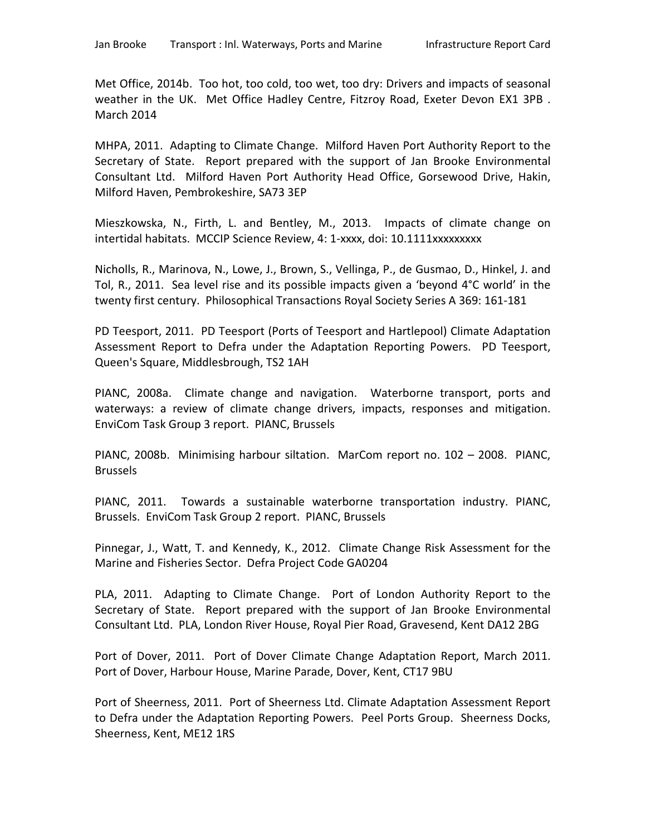Met Office, 2014b. Too hot, too cold, too wet, too dry: Drivers and impacts of seasonal weather in the UK. Met Office Hadley Centre, Fitzroy Road, Exeter Devon EX1 3PB . March 2014

MHPA, 2011. Adapting to Climate Change. Milford Haven Port Authority Report to the Secretary of State. Report prepared with the support of Jan Brooke Environmental Consultant Ltd. Milford Haven Port Authority Head Office, Gorsewood Drive, Hakin, Milford Haven, Pembrokeshire, SA73 3EP

Mieszkowska, N., Firth, L. and Bentley, M., 2013. Impacts of climate change on intertidal habitats. MCCIP Science Review, 4: 1-xxxx, doi: 10.1111xxxxxxxxx

Nicholls, R., Marinova, N., Lowe, J., Brown, S., Vellinga, P., de Gusmao, D., Hinkel, J. and Tol, R., 2011. Sea level rise and its possible impacts given a 'beyond 4°C world' in the twenty first century. Philosophical Transactions Royal Society Series A 369: 161-181

PD Teesport, 2011. PD Teesport (Ports of Teesport and Hartlepool) Climate Adaptation Assessment Report to Defra under the Adaptation Reporting Powers. PD Teesport, Queen's Square, Middlesbrough, TS2 1AH

PIANC, 2008a. Climate change and navigation. Waterborne transport, ports and waterways: a review of climate change drivers, impacts, responses and mitigation. EnviCom Task Group 3 report. PIANC, Brussels

PIANC, 2008b. Minimising harbour siltation. MarCom report no. 102 – 2008. PIANC, Brussels

PIANC, 2011. Towards a sustainable waterborne transportation industry. PIANC, Brussels. EnviCom Task Group 2 report. PIANC, Brussels

Pinnegar, J., Watt, T. and Kennedy, K., 2012. Climate Change Risk Assessment for the Marine and Fisheries Sector. Defra Project Code GA0204

PLA, 2011. Adapting to Climate Change. Port of London Authority Report to the Secretary of State. Report prepared with the support of Jan Brooke Environmental Consultant Ltd. PLA, London River House, Royal Pier Road, Gravesend, Kent DA12 2BG

Port of Dover, 2011. Port of Dover Climate Change Adaptation Report, March 2011. Port of Dover, Harbour House, Marine Parade, Dover, Kent, CT17 9BU

Port of Sheerness, 2011. Port of Sheerness Ltd. Climate Adaptation Assessment Report to Defra under the Adaptation Reporting Powers. Peel Ports Group. Sheerness Docks, Sheerness, Kent, ME12 1RS